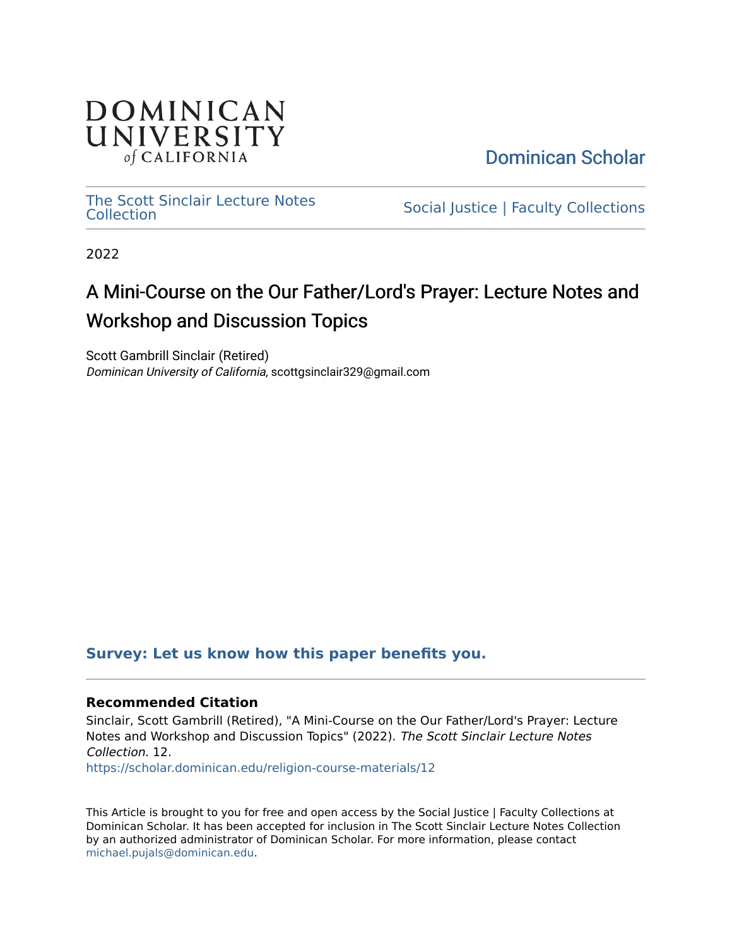

[Dominican Scholar](https://scholar.dominican.edu/) 

[The Scott Sinclair Lecture Notes](https://scholar.dominican.edu/religion-course-materials) The Scott Sincial Lecture Notes<br>
Social Justice | Faculty [Collection](https://scholar.dominican.edu/religion-course-materials)s

2022

# A Mini-Course on the Our Father/Lord's Prayer: Lecture Notes and Workshop and Discussion Topics

Scott Gambrill Sinclair (Retired) Dominican University of California, scottgsinclair329@gmail.com

#### **[Survey: Let us know how this paper benefits you.](https://dominican.libwizard.com/dominican-scholar-feedback)**

#### **Recommended Citation**

Sinclair, Scott Gambrill (Retired), "A Mini-Course on the Our Father/Lord's Prayer: Lecture Notes and Workshop and Discussion Topics" (2022). The Scott Sinclair Lecture Notes Collection. 12.

[https://scholar.dominican.edu/religion-course-materials/12](https://scholar.dominican.edu/religion-course-materials/12?utm_source=scholar.dominican.edu%2Freligion-course-materials%2F12&utm_medium=PDF&utm_campaign=PDFCoverPages) 

This Article is brought to you for free and open access by the Social Justice | Faculty Collections at Dominican Scholar. It has been accepted for inclusion in The Scott Sinclair Lecture Notes Collection by an authorized administrator of Dominican Scholar. For more information, please contact [michael.pujals@dominican.edu.](mailto:michael.pujals@dominican.edu)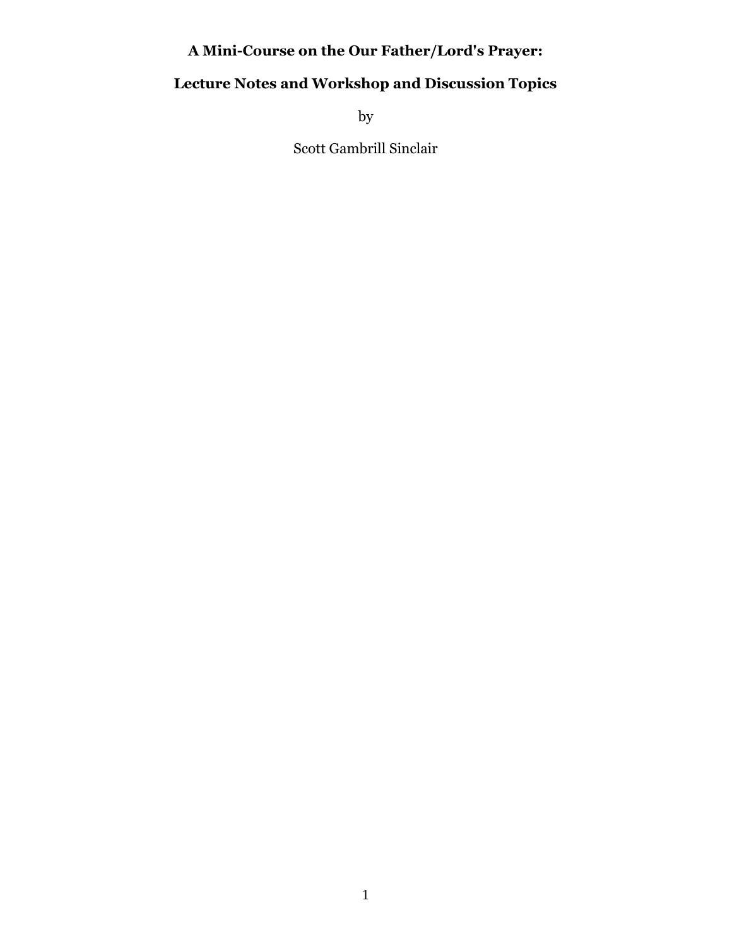# **A Mini-Course on the Our Father/Lord's Prayer:**

# **Lecture Notes and Workshop and Discussion Topics**

by

Scott Gambrill Sinclair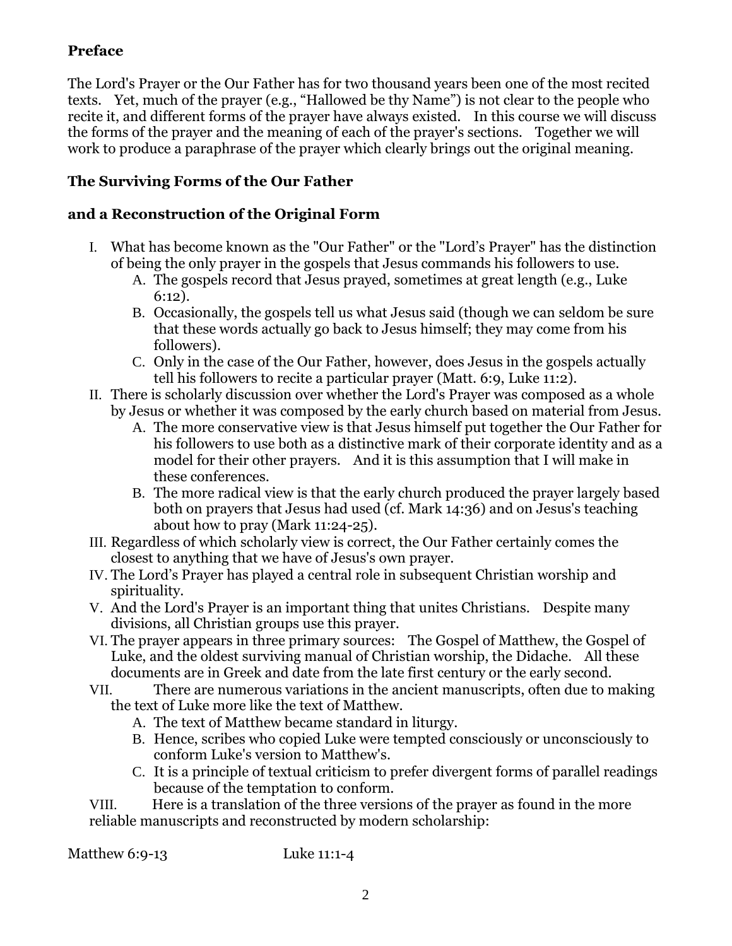# **Preface**

The Lord's Prayer or the Our Father has for two thousand years been one of the most recited texts. Yet, much of the prayer (e.g., "Hallowed be thy Name") is not clear to the people who recite it, and different forms of the prayer have always existed. In this course we will discuss the forms of the prayer and the meaning of each of the prayer's sections. Together we will work to produce a paraphrase of the prayer which clearly brings out the original meaning.

## **The Surviving Forms of the Our Father**

### **and a Reconstruction of the Original Form**

- I. What has become known as the "Our Father" or the "Lord's Prayer" has the distinction of being the only prayer in the gospels that Jesus commands his followers to use.
	- A. The gospels record that Jesus prayed, sometimes at great length (e.g., Luke 6:12).
	- B. Occasionally, the gospels tell us what Jesus said (though we can seldom be sure that these words actually go back to Jesus himself; they may come from his followers).
	- C. Only in the case of the Our Father, however, does Jesus in the gospels actually tell his followers to recite a particular prayer (Matt. 6:9, Luke 11:2).
- II. There is scholarly discussion over whether the Lord's Prayer was composed as a whole by Jesus or whether it was composed by the early church based on material from Jesus.
	- A. The more conservative view is that Jesus himself put together the Our Father for his followers to use both as a distinctive mark of their corporate identity and as a model for their other prayers. And it is this assumption that I will make in these conferences.
	- B. The more radical view is that the early church produced the prayer largely based both on prayers that Jesus had used (cf. Mark 14:36) and on Jesus's teaching about how to pray (Mark 11:24-25).
- III. Regardless of which scholarly view is correct, the Our Father certainly comes the closest to anything that we have of Jesus's own prayer.
- IV. The Lord's Prayer has played a central role in subsequent Christian worship and spirituality.
- V. And the Lord's Prayer is an important thing that unites Christians. Despite many divisions, all Christian groups use this prayer.
- VI. The prayer appears in three primary sources: The Gospel of Matthew, the Gospel of Luke, and the oldest surviving manual of Christian worship, the Didache. All these documents are in Greek and date from the late first century or the early second.
- VII. There are numerous variations in the ancient manuscripts, often due to making the text of Luke more like the text of Matthew.
	- A. The text of Matthew became standard in liturgy.
	- B. Hence, scribes who copied Luke were tempted consciously or unconsciously to conform Luke's version to Matthew's.
	- C. It is a principle of textual criticism to prefer divergent forms of parallel readings because of the temptation to conform.

VIII. Here is a translation of the three versions of the prayer as found in the more reliable manuscripts and reconstructed by modern scholarship:

Matthew 6:9-13 Luke 11:1-4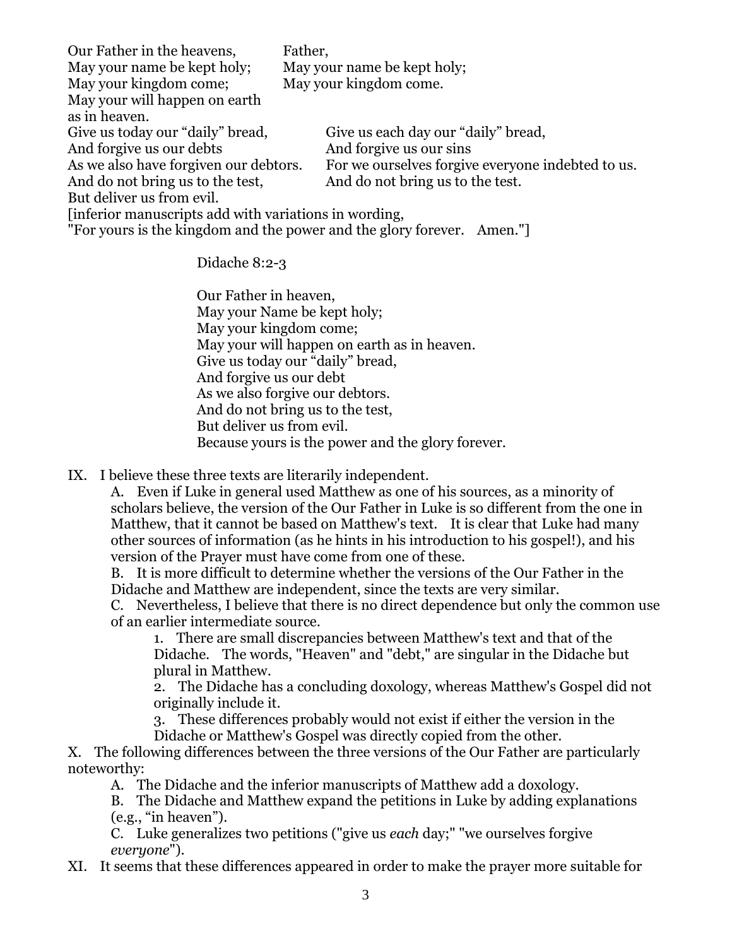| Our Father in the heavens,                            | Father,                                                               |
|-------------------------------------------------------|-----------------------------------------------------------------------|
| May your name be kept holy;                           | May your name be kept holy;                                           |
| May your kingdom come;                                | May your kingdom come.                                                |
| May your will happen on earth                         |                                                                       |
| as in heaven.                                         |                                                                       |
| Give us today our "daily" bread,                      | Give us each day our "daily" bread,                                   |
| And forgive us our debts                              | And forgive us our sins                                               |
| As we also have for given our debtors.                | For we ourselves for give everyone indebted to us.                    |
| And do not bring us to the test,                      | And do not bring us to the test.                                      |
| But deliver us from evil.                             |                                                                       |
| [inferior manuscripts add with variations in wording, |                                                                       |
|                                                       | "For yours is the kingdom and the power and the glory forever. Amen." |

Didache 8:2-3

Our Father in heaven, May your Name be kept holy; May your kingdom come; May your will happen on earth as in heaven. Give us today our "daily" bread, And forgive us our debt As we also forgive our debtors. And do not bring us to the test, But deliver us from evil. Because yours is the power and the glory forever.

IX. I believe these three texts are literarily independent.

A. Even if Luke in general used Matthew as one of his sources, as a minority of scholars believe, the version of the Our Father in Luke is so different from the one in Matthew, that it cannot be based on Matthew's text. It is clear that Luke had many other sources of information (as he hints in his introduction to his gospel!), and his version of the Prayer must have come from one of these.

B. It is more difficult to determine whether the versions of the Our Father in the Didache and Matthew are independent, since the texts are very similar.

C. Nevertheless, I believe that there is no direct dependence but only the common use of an earlier intermediate source.

1. There are small discrepancies between Matthew's text and that of the Didache. The words, "Heaven" and "debt," are singular in the Didache but plural in Matthew.

2. The Didache has a concluding doxology, whereas Matthew's Gospel did not originally include it.

3. These differences probably would not exist if either the version in the Didache or Matthew's Gospel was directly copied from the other.

X. The following differences between the three versions of the Our Father are particularly noteworthy:

A. The Didache and the inferior manuscripts of Matthew add a doxology.

B. The Didache and Matthew expand the petitions in Luke by adding explanations (e.g., "in heaven").

C. Luke generalizes two petitions ("give us *each* day;" "we ourselves forgive *everyone*").

XI. It seems that these differences appeared in order to make the prayer more suitable for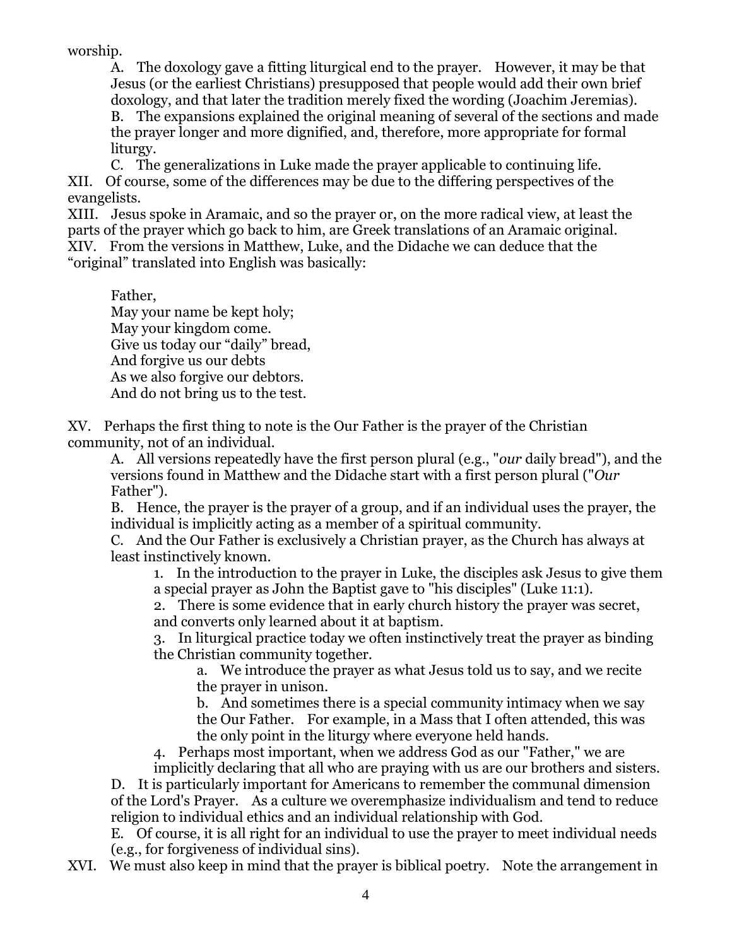worship.

A. The doxology gave a fitting liturgical end to the prayer. However, it may be that Jesus (or the earliest Christians) presupposed that people would add their own brief doxology, and that later the tradition merely fixed the wording (Joachim Jeremias). B. The expansions explained the original meaning of several of the sections and made the prayer longer and more dignified, and, therefore, more appropriate for formal liturgy.

C. The generalizations in Luke made the prayer applicable to continuing life. XII. Of course, some of the differences may be due to the differing perspectives of the evangelists.

XIII. Jesus spoke in Aramaic, and so the prayer or, on the more radical view, at least the parts of the prayer which go back to him, are Greek translations of an Aramaic original. XIV. From the versions in Matthew, Luke, and the Didache we can deduce that the "original" translated into English was basically:

Father,

May your name be kept holy; May your kingdom come. Give us today our "daily" bread, And forgive us our debts As we also forgive our debtors. And do not bring us to the test.

XV. Perhaps the first thing to note is the Our Father is the prayer of the Christian community, not of an individual.

A. All versions repeatedly have the first person plural (e.g., "*our* daily bread"), and the versions found in Matthew and the Didache start with a first person plural ("*Our* Father").

B. Hence, the prayer is the prayer of a group, and if an individual uses the prayer, the individual is implicitly acting as a member of a spiritual community.

C. And the Our Father is exclusively a Christian prayer, as the Church has always at least instinctively known.

1. In the introduction to the prayer in Luke, the disciples ask Jesus to give them a special prayer as John the Baptist gave to "his disciples" (Luke 11:1).

2. There is some evidence that in early church history the prayer was secret, and converts only learned about it at baptism.

3. In liturgical practice today we often instinctively treat the prayer as binding the Christian community together.

a. We introduce the prayer as what Jesus told us to say, and we recite the prayer in unison.

b. And sometimes there is a special community intimacy when we say the Our Father. For example, in a Mass that I often attended, this was the only point in the liturgy where everyone held hands.

4. Perhaps most important, when we address God as our "Father," we are

implicitly declaring that all who are praying with us are our brothers and sisters. D. It is particularly important for Americans to remember the communal dimension

of the Lord's Prayer. As a culture we overemphasize individualism and tend to reduce religion to individual ethics and an individual relationship with God.

E. Of course, it is all right for an individual to use the prayer to meet individual needs (e.g., for forgiveness of individual sins).

XVI. We must also keep in mind that the prayer is biblical poetry. Note the arrangement in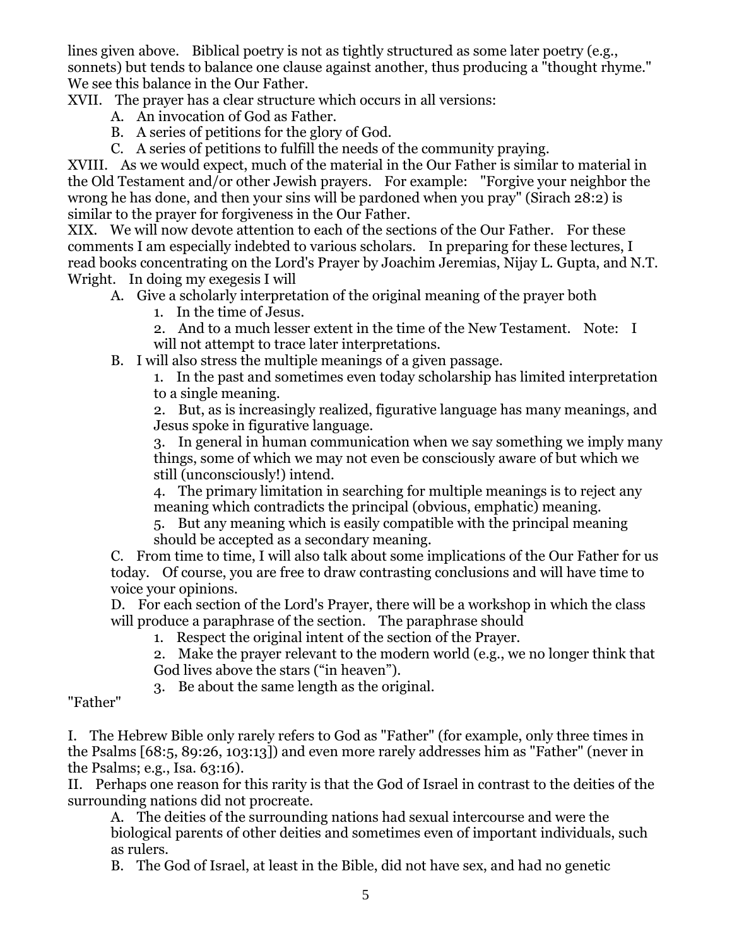lines given above. Biblical poetry is not as tightly structured as some later poetry (e.g., sonnets) but tends to balance one clause against another, thus producing a "thought rhyme." We see this balance in the Our Father.

XVII. The prayer has a clear structure which occurs in all versions:

- A. An invocation of God as Father.
- B. A series of petitions for the glory of God.
- C. A series of petitions to fulfill the needs of the community praying.

XVIII. As we would expect, much of the material in the Our Father is similar to material in the Old Testament and/or other Jewish prayers. For example: "Forgive your neighbor the wrong he has done, and then your sins will be pardoned when you pray" (Sirach 28:2) is similar to the prayer for forgiveness in the Our Father.

XIX. We will now devote attention to each of the sections of the Our Father. For these comments I am especially indebted to various scholars. In preparing for these lectures, I read books concentrating on the Lord's Prayer by Joachim Jeremias, Nijay L. Gupta, and N.T. Wright. In doing my exegesis I will

- A. Give a scholarly interpretation of the original meaning of the prayer both
	- 1. In the time of Jesus.

2. And to a much lesser extent in the time of the New Testament. Note: I will not attempt to trace later interpretations.

B. I will also stress the multiple meanings of a given passage.

1. In the past and sometimes even today scholarship has limited interpretation to a single meaning.

2. But, as is increasingly realized, figurative language has many meanings, and Jesus spoke in figurative language.

3. In general in human communication when we say something we imply many things, some of which we may not even be consciously aware of but which we still (unconsciously!) intend.

4. The primary limitation in searching for multiple meanings is to reject any meaning which contradicts the principal (obvious, emphatic) meaning.

5. But any meaning which is easily compatible with the principal meaning should be accepted as a secondary meaning.

C. From time to time, I will also talk about some implications of the Our Father for us today. Of course, you are free to draw contrasting conclusions and will have time to voice your opinions.

D. For each section of the Lord's Prayer, there will be a workshop in which the class will produce a paraphrase of the section. The paraphrase should

- 1. Respect the original intent of the section of the Prayer.
- 2. Make the prayer relevant to the modern world (e.g., we no longer think that
- God lives above the stars ("in heaven").

3. Be about the same length as the original.

"Father"

I. The Hebrew Bible only rarely refers to God as "Father" (for example, only three times in the Psalms [68:5, 89:26, 103:13]) and even more rarely addresses him as "Father" (never in the Psalms; e.g., Isa. 63:16).

II. Perhaps one reason for this rarity is that the God of Israel in contrast to the deities of the surrounding nations did not procreate.

A. The deities of the surrounding nations had sexual intercourse and were the biological parents of other deities and sometimes even of important individuals, such as rulers.

B. The God of Israel, at least in the Bible, did not have sex, and had no genetic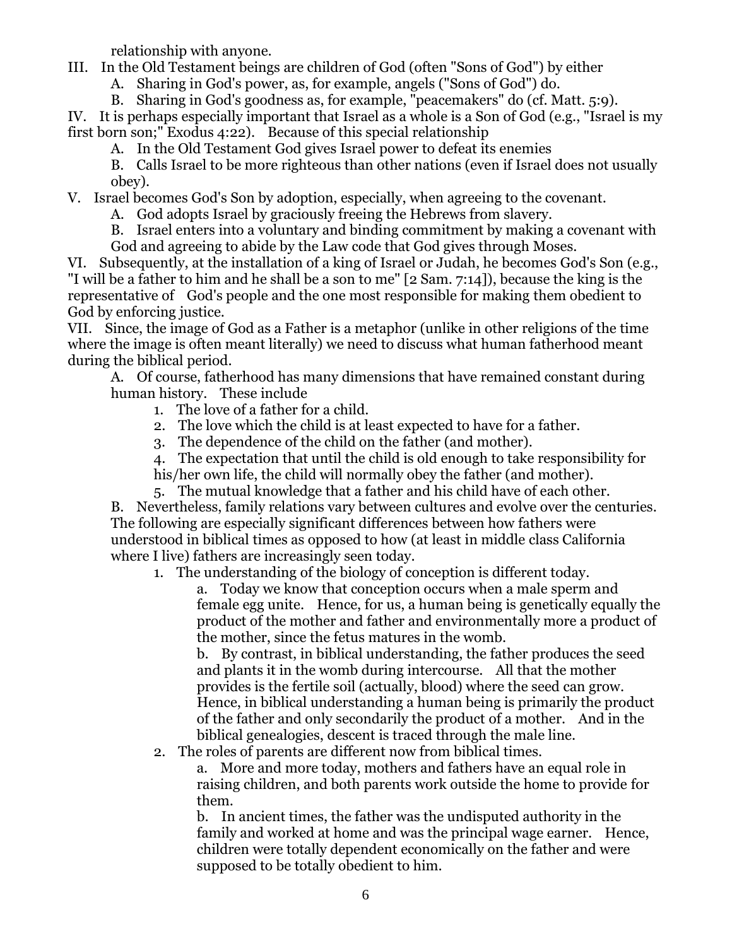relationship with anyone.

III. In the Old Testament beings are children of God (often "Sons of God") by either

A. Sharing in God's power, as, for example, angels ("Sons of God") do.

B. Sharing in God's goodness as, for example, "peacemakers" do (cf. Matt. 5:9).

IV. It is perhaps especially important that Israel as a whole is a Son of God (e.g., "Israel is my first born son;" Exodus 4:22). Because of this special relationship

A. In the Old Testament God gives Israel power to defeat its enemies

B. Calls Israel to be more righteous than other nations (even if Israel does not usually obey).

V. Israel becomes God's Son by adoption, especially, when agreeing to the covenant.

A. God adopts Israel by graciously freeing the Hebrews from slavery.

B. Israel enters into a voluntary and binding commitment by making a covenant with God and agreeing to abide by the Law code that God gives through Moses.

VI. Subsequently, at the installation of a king of Israel or Judah, he becomes God's Son (e.g., "I will be a father to him and he shall be a son to me" [2 Sam. 7:14]), because the king is the representative of God's people and the one most responsible for making them obedient to God by enforcing justice.

VII. Since, the image of God as a Father is a metaphor (unlike in other religions of the time where the image is often meant literally) we need to discuss what human fatherhood meant during the biblical period.

A. Of course, fatherhood has many dimensions that have remained constant during human history. These include

- 1. The love of a father for a child.
- 2. The love which the child is at least expected to have for a father.
- 3. The dependence of the child on the father (and mother).

4. The expectation that until the child is old enough to take responsibility for

his/her own life, the child will normally obey the father (and mother).

5. The mutual knowledge that a father and his child have of each other. B. Nevertheless, family relations vary between cultures and evolve over the centuries. The following are especially significant differences between how fathers were understood in biblical times as opposed to how (at least in middle class California where I live) fathers are increasingly seen today.

1. The understanding of the biology of conception is different today.

a. Today we know that conception occurs when a male sperm and female egg unite. Hence, for us, a human being is genetically equally the product of the mother and father and environmentally more a product of the mother, since the fetus matures in the womb.

b. By contrast, in biblical understanding, the father produces the seed and plants it in the womb during intercourse. All that the mother provides is the fertile soil (actually, blood) where the seed can grow. Hence, in biblical understanding a human being is primarily the product of the father and only secondarily the product of a mother. And in the biblical genealogies, descent is traced through the male line.

2. The roles of parents are different now from biblical times.

a. More and more today, mothers and fathers have an equal role in raising children, and both parents work outside the home to provide for them.

b. In ancient times, the father was the undisputed authority in the family and worked at home and was the principal wage earner. Hence, children were totally dependent economically on the father and were supposed to be totally obedient to him.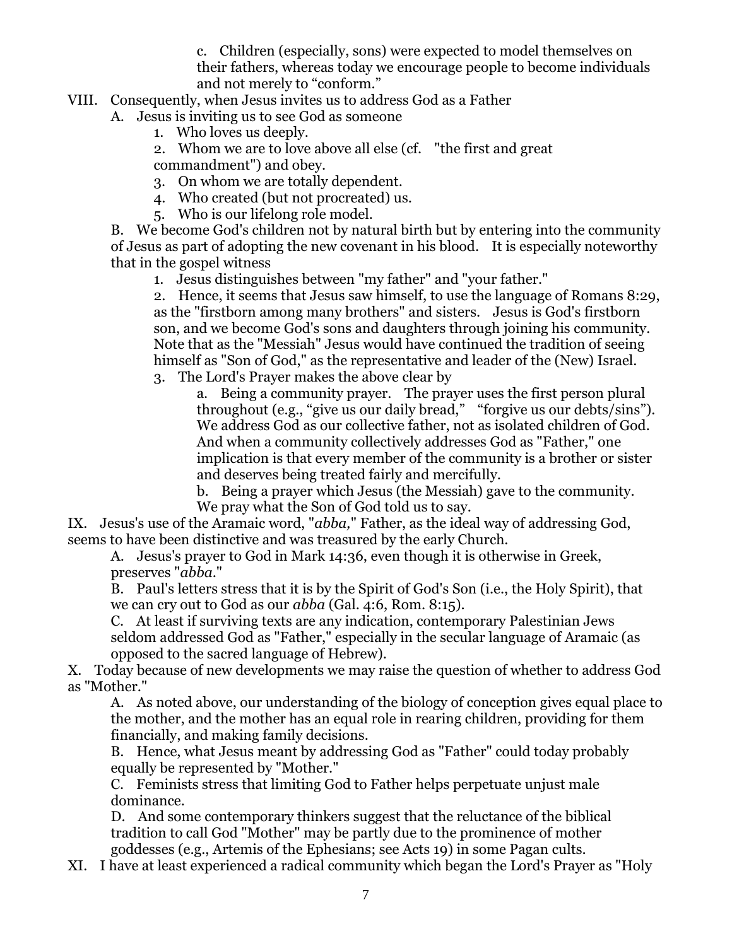c. Children (especially, sons) were expected to model themselves on their fathers, whereas today we encourage people to become individuals and not merely to "conform."

- VIII. Consequently, when Jesus invites us to address God as a Father
	- A. Jesus is inviting us to see God as someone
		- 1. Who loves us deeply.

2. Whom we are to love above all else (cf. "the first and great commandment") and obey.

- 3. On whom we are totally dependent.
- 4. Who created (but not procreated) us.
- 5. Who is our lifelong role model.

B. We become God's children not by natural birth but by entering into the community of Jesus as part of adopting the new covenant in his blood. It is especially noteworthy that in the gospel witness

1. Jesus distinguishes between "my father" and "your father."

2. Hence, it seems that Jesus saw himself, to use the language of Romans 8:29, as the "firstborn among many brothers" and sisters. Jesus is God's firstborn son, and we become God's sons and daughters through joining his community. Note that as the "Messiah" Jesus would have continued the tradition of seeing himself as "Son of God," as the representative and leader of the (New) Israel.

3. The Lord's Prayer makes the above clear by

a. Being a community prayer. The prayer uses the first person plural throughout (e.g., "give us our daily bread," "forgive us our debts/sins"). We address God as our collective father, not as isolated children of God. And when a community collectively addresses God as "Father," one implication is that every member of the community is a brother or sister and deserves being treated fairly and mercifully.

b. Being a prayer which Jesus (the Messiah) gave to the community. We pray what the Son of God told us to say.

IX. Jesus's use of the Aramaic word, "*abba,*" Father, as the ideal way of addressing God, seems to have been distinctive and was treasured by the early Church.

A. Jesus's prayer to God in Mark 14:36, even though it is otherwise in Greek, preserves "*abba*."

B. Paul's letters stress that it is by the Spirit of God's Son (i.e., the Holy Spirit), that we can cry out to God as our *abba* (Gal. 4:6, Rom. 8:15).

C. At least if surviving texts are any indication, contemporary Palestinian Jews seldom addressed God as "Father," especially in the secular language of Aramaic (as opposed to the sacred language of Hebrew).

X. Today because of new developments we may raise the question of whether to address God as "Mother."

A. As noted above, our understanding of the biology of conception gives equal place to the mother, and the mother has an equal role in rearing children, providing for them financially, and making family decisions.

B. Hence, what Jesus meant by addressing God as "Father" could today probably equally be represented by "Mother."

C. Feminists stress that limiting God to Father helps perpetuate unjust male dominance.

D. And some contemporary thinkers suggest that the reluctance of the biblical tradition to call God "Mother" may be partly due to the prominence of mother goddesses (e.g., Artemis of the Ephesians; see Acts 19) in some Pagan cults.

XI. I have at least experienced a radical community which began the Lord's Prayer as "Holy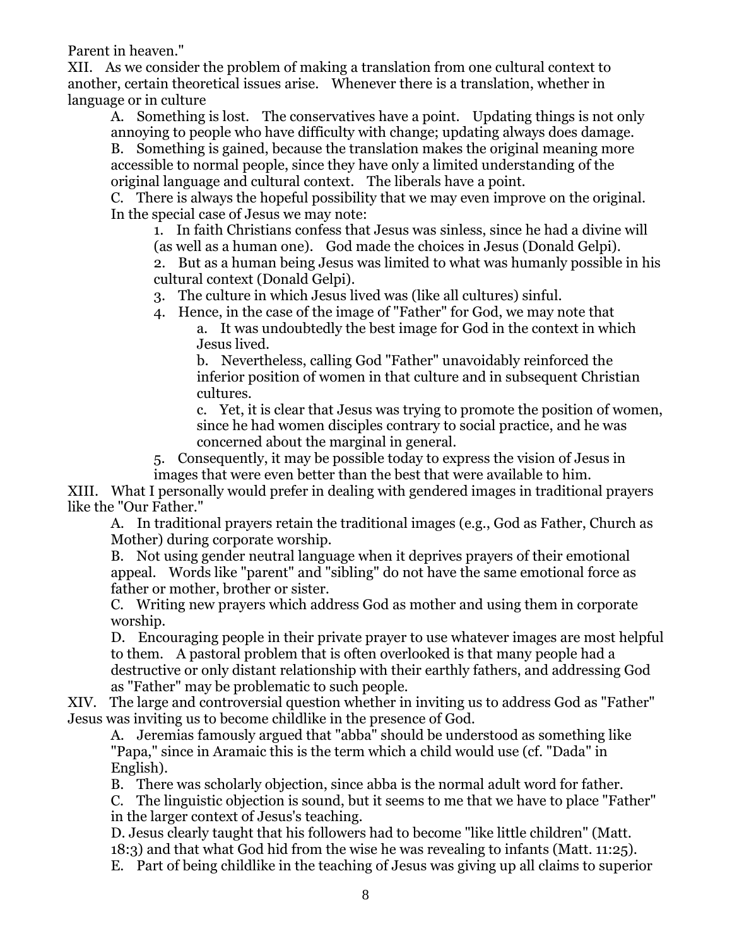Parent in heaven."

XII. As we consider the problem of making a translation from one cultural context to another, certain theoretical issues arise. Whenever there is a translation, whether in language or in culture

A. Something is lost. The conservatives have a point. Updating things is not only annoying to people who have difficulty with change; updating always does damage.

B. Something is gained, because the translation makes the original meaning more accessible to normal people, since they have only a limited understanding of the original language and cultural context. The liberals have a point.

C. There is always the hopeful possibility that we may even improve on the original. In the special case of Jesus we may note:

1. In faith Christians confess that Jesus was sinless, since he had a divine will (as well as a human one). God made the choices in Jesus (Donald Gelpi).

2. But as a human being Jesus was limited to what was humanly possible in his cultural context (Donald Gelpi).

3. The culture in which Jesus lived was (like all cultures) sinful.

4. Hence, in the case of the image of "Father" for God, we may note that

a. It was undoubtedly the best image for God in the context in which Jesus lived.

b. Nevertheless, calling God "Father" unavoidably reinforced the inferior position of women in that culture and in subsequent Christian cultures.

c. Yet, it is clear that Jesus was trying to promote the position of women, since he had women disciples contrary to social practice, and he was concerned about the marginal in general.

5. Consequently, it may be possible today to express the vision of Jesus in images that were even better than the best that were available to him.

XIII. What I personally would prefer in dealing with gendered images in traditional prayers like the "Our Father."

A. In traditional prayers retain the traditional images (e.g., God as Father, Church as Mother) during corporate worship.

B. Not using gender neutral language when it deprives prayers of their emotional appeal. Words like "parent" and "sibling" do not have the same emotional force as father or mother, brother or sister.

C. Writing new prayers which address God as mother and using them in corporate worship.

D. Encouraging people in their private prayer to use whatever images are most helpful to them. A pastoral problem that is often overlooked is that many people had a destructive or only distant relationship with their earthly fathers, and addressing God as "Father" may be problematic to such people.

XIV. The large and controversial question whether in inviting us to address God as "Father" Jesus was inviting us to become childlike in the presence of God.

A. Jeremias famously argued that "abba" should be understood as something like "Papa," since in Aramaic this is the term which a child would use (cf. "Dada" in English).

B. There was scholarly objection, since abba is the normal adult word for father.

C. The linguistic objection is sound, but it seems to me that we have to place "Father" in the larger context of Jesus's teaching.

D. Jesus clearly taught that his followers had to become "like little children" (Matt. 18:3) and that what God hid from the wise he was revealing to infants (Matt. 11:25).

E. Part of being childlike in the teaching of Jesus was giving up all claims to superior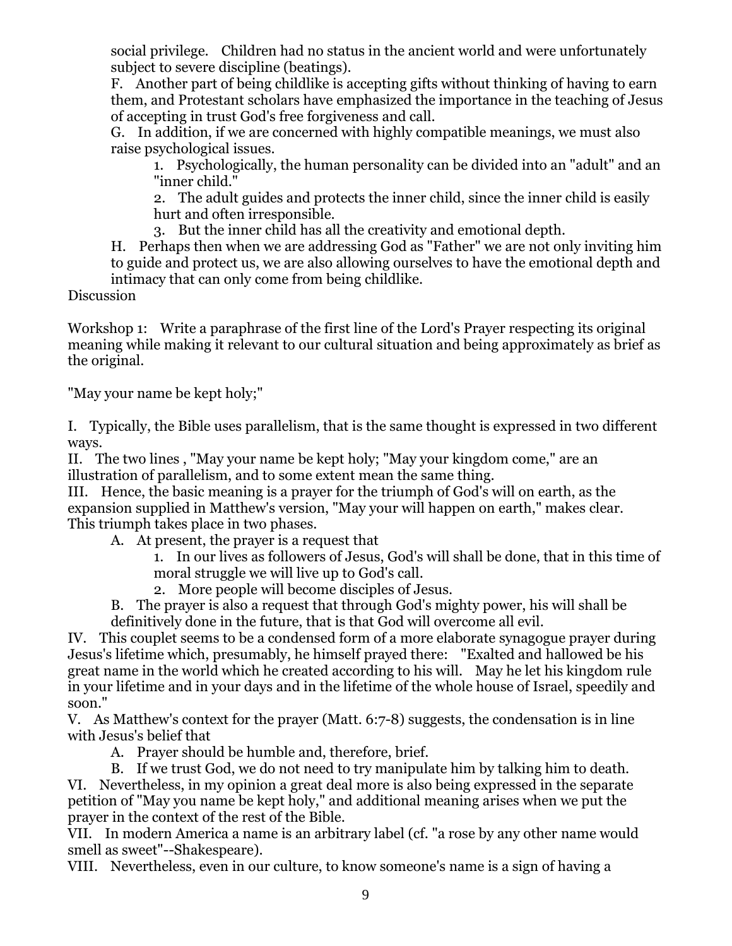social privilege. Children had no status in the ancient world and were unfortunately subject to severe discipline (beatings).

F. Another part of being childlike is accepting gifts without thinking of having to earn them, and Protestant scholars have emphasized the importance in the teaching of Jesus of accepting in trust God's free forgiveness and call.

G. In addition, if we are concerned with highly compatible meanings, we must also raise psychological issues.

1. Psychologically, the human personality can be divided into an "adult" and an "inner child."

2. The adult guides and protects the inner child, since the inner child is easily hurt and often irresponsible.

3. But the inner child has all the creativity and emotional depth.

H. Perhaps then when we are addressing God as "Father" we are not only inviting him to guide and protect us, we are also allowing ourselves to have the emotional depth and intimacy that can only come from being childlike.

Discussion

Workshop 1: Write a paraphrase of the first line of the Lord's Prayer respecting its original meaning while making it relevant to our cultural situation and being approximately as brief as the original.

"May your name be kept holy;"

I. Typically, the Bible uses parallelism, that is the same thought is expressed in two different ways.

II. The two lines , "May your name be kept holy; "May your kingdom come," are an illustration of parallelism, and to some extent mean the same thing.

III. Hence, the basic meaning is a prayer for the triumph of God's will on earth, as the expansion supplied in Matthew's version, "May your will happen on earth," makes clear. This triumph takes place in two phases.

A. At present, the prayer is a request that

1. In our lives as followers of Jesus, God's will shall be done, that in this time of moral struggle we will live up to God's call.

2. More people will become disciples of Jesus.

B. The prayer is also a request that through God's mighty power, his will shall be definitively done in the future, that is that God will overcome all evil.

IV. This couplet seems to be a condensed form of a more elaborate synagogue prayer during Jesus's lifetime which, presumably, he himself prayed there: "Exalted and hallowed be his great name in the world which he created according to his will. May he let his kingdom rule in your lifetime and in your days and in the lifetime of the whole house of Israel, speedily and soon."

V. As Matthew's context for the prayer (Matt. 6:7-8) suggests, the condensation is in line with Jesus's belief that

A. Prayer should be humble and, therefore, brief.

B. If we trust God, we do not need to try manipulate him by talking him to death. VI. Nevertheless, in my opinion a great deal more is also being expressed in the separate petition of "May you name be kept holy," and additional meaning arises when we put the prayer in the context of the rest of the Bible.

VII. In modern America a name is an arbitrary label (cf. "a rose by any other name would smell as sweet"--Shakespeare).

VIII. Nevertheless, even in our culture, to know someone's name is a sign of having a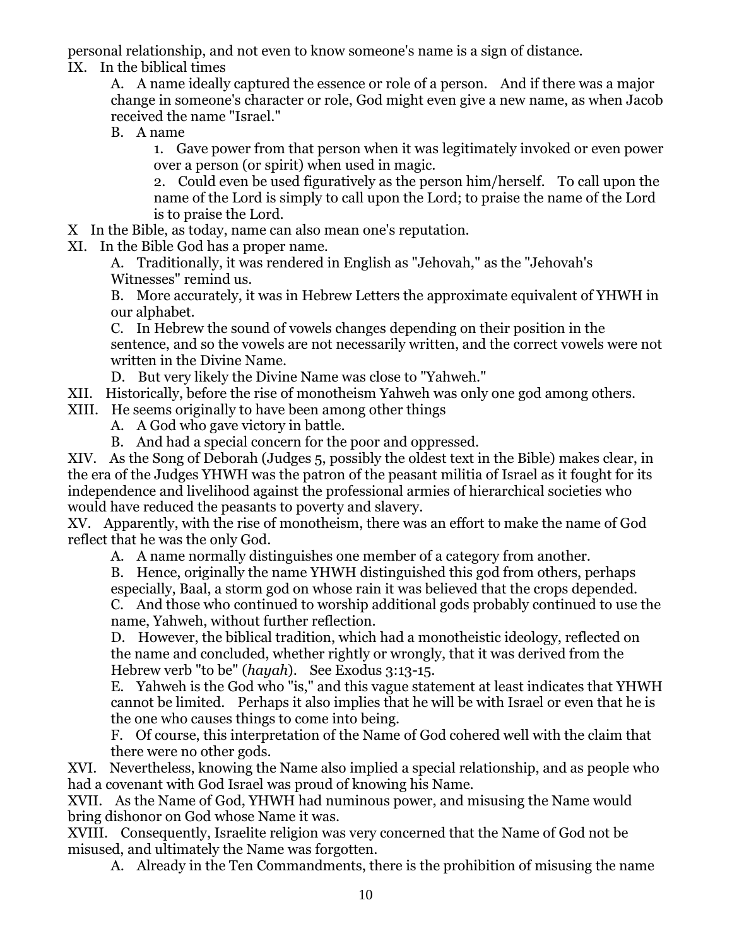personal relationship, and not even to know someone's name is a sign of distance.

IX. In the biblical times

A. A name ideally captured the essence or role of a person. And if there was a major change in someone's character or role, God might even give a new name, as when Jacob received the name "Israel."

B. A name

1. Gave power from that person when it was legitimately invoked or even power over a person (or spirit) when used in magic.

2. Could even be used figuratively as the person him/herself. To call upon the name of the Lord is simply to call upon the Lord; to praise the name of the Lord is to praise the Lord.

- X In the Bible, as today, name can also mean one's reputation.
- XI. In the Bible God has a proper name.

A. Traditionally, it was rendered in English as "Jehovah," as the "Jehovah's Witnesses" remind us.

B. More accurately, it was in Hebrew Letters the approximate equivalent of YHWH in our alphabet.

C. In Hebrew the sound of vowels changes depending on their position in the sentence, and so the vowels are not necessarily written, and the correct vowels were not written in the Divine Name.

- D. But very likely the Divine Name was close to "Yahweh."
- XII. Historically, before the rise of monotheism Yahweh was only one god among others.
- XIII. He seems originally to have been among other things
	- A. A God who gave victory in battle.
	- B. And had a special concern for the poor and oppressed.

XIV. As the Song of Deborah (Judges 5, possibly the oldest text in the Bible) makes clear, in the era of the Judges YHWH was the patron of the peasant militia of Israel as it fought for its independence and livelihood against the professional armies of hierarchical societies who would have reduced the peasants to poverty and slavery.

XV. Apparently, with the rise of monotheism, there was an effort to make the name of God reflect that he was the only God.

A. A name normally distinguishes one member of a category from another.

B. Hence, originally the name YHWH distinguished this god from others, perhaps

especially, Baal, a storm god on whose rain it was believed that the crops depended.

C. And those who continued to worship additional gods probably continued to use the name, Yahweh, without further reflection.

D. However, the biblical tradition, which had a monotheistic ideology, reflected on the name and concluded, whether rightly or wrongly, that it was derived from the Hebrew verb "to be" (*hayah*). See Exodus 3:13-15.

E. Yahweh is the God who "is," and this vague statement at least indicates that YHWH cannot be limited. Perhaps it also implies that he will be with Israel or even that he is the one who causes things to come into being.

F. Of course, this interpretation of the Name of God cohered well with the claim that there were no other gods.

XVI. Nevertheless, knowing the Name also implied a special relationship, and as people who had a covenant with God Israel was proud of knowing his Name.

XVII. As the Name of God, YHWH had numinous power, and misusing the Name would bring dishonor on God whose Name it was.

XVIII. Consequently, Israelite religion was very concerned that the Name of God not be misused, and ultimately the Name was forgotten.

A. Already in the Ten Commandments, there is the prohibition of misusing the name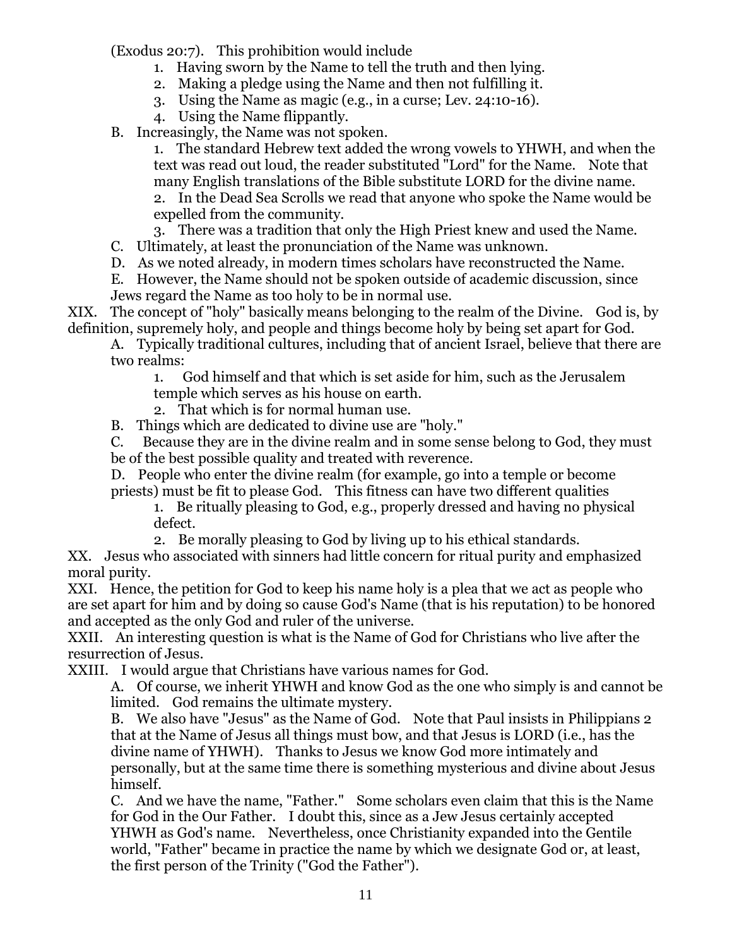(Exodus 20:7). This prohibition would include

- 1. Having sworn by the Name to tell the truth and then lying.
- 2. Making a pledge using the Name and then not fulfilling it.
- 3. Using the Name as magic (e.g., in a curse; Lev. 24:10-16).
- 4. Using the Name flippantly.

B. Increasingly, the Name was not spoken.

1. The standard Hebrew text added the wrong vowels to YHWH, and when the text was read out loud, the reader substituted "Lord" for the Name. Note that many English translations of the Bible substitute LORD for the divine name. 2. In the Dead Sea Scrolls we read that anyone who spoke the Name would be expelled from the community.

3. There was a tradition that only the High Priest knew and used the Name.

C. Ultimately, at least the pronunciation of the Name was unknown.

D. As we noted already, in modern times scholars have reconstructed the Name.

E. However, the Name should not be spoken outside of academic discussion, since Jews regard the Name as too holy to be in normal use.

XIX. The concept of "holy" basically means belonging to the realm of the Divine. God is, by definition, supremely holy, and people and things become holy by being set apart for God.

A. Typically traditional cultures, including that of ancient Israel, believe that there are two realms:

1. God himself and that which is set aside for him, such as the Jerusalem

temple which serves as his house on earth.

2. That which is for normal human use.

B. Things which are dedicated to divine use are "holy."

C. Because they are in the divine realm and in some sense belong to God, they must be of the best possible quality and treated with reverence.

D. People who enter the divine realm (for example, go into a temple or become priests) must be fit to please God. This fitness can have two different qualities

1. Be ritually pleasing to God, e.g., properly dressed and having no physical defect.

2. Be morally pleasing to God by living up to his ethical standards.

XX. Jesus who associated with sinners had little concern for ritual purity and emphasized moral purity.

XXI. Hence, the petition for God to keep his name holy is a plea that we act as people who are set apart for him and by doing so cause God's Name (that is his reputation) to be honored and accepted as the only God and ruler of the universe.

XXII. An interesting question is what is the Name of God for Christians who live after the resurrection of Jesus.

XXIII. I would argue that Christians have various names for God.

A. Of course, we inherit YHWH and know God as the one who simply is and cannot be limited. God remains the ultimate mystery.

B. We also have "Jesus" as the Name of God. Note that Paul insists in Philippians 2 that at the Name of Jesus all things must bow, and that Jesus is LORD (i.e., has the divine name of YHWH). Thanks to Jesus we know God more intimately and personally, but at the same time there is something mysterious and divine about Jesus himself.

C. And we have the name, "Father." Some scholars even claim that this is the Name for God in the Our Father. I doubt this, since as a Jew Jesus certainly accepted YHWH as God's name. Nevertheless, once Christianity expanded into the Gentile world, "Father" became in practice the name by which we designate God or, at least, the first person of the Trinity ("God the Father").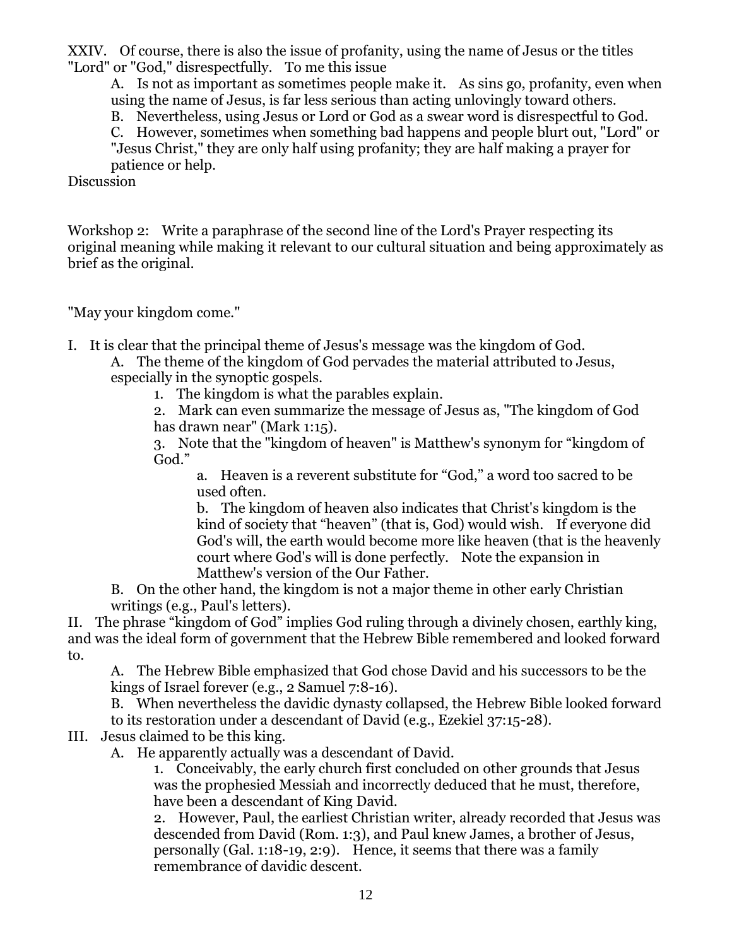XXIV. Of course, there is also the issue of profanity, using the name of Jesus or the titles "Lord" or "God," disrespectfully. To me this issue

A. Is not as important as sometimes people make it. As sins go, profanity, even when using the name of Jesus, is far less serious than acting unlovingly toward others.

B. Nevertheless, using Jesus or Lord or God as a swear word is disrespectful to God.

C. However, sometimes when something bad happens and people blurt out, "Lord" or "Jesus Christ," they are only half using profanity; they are half making a prayer for patience or help.

Discussion

Workshop 2: Write a paraphrase of the second line of the Lord's Prayer respecting its original meaning while making it relevant to our cultural situation and being approximately as brief as the original.

"May your kingdom come."

I. It is clear that the principal theme of Jesus's message was the kingdom of God.

A. The theme of the kingdom of God pervades the material attributed to Jesus, especially in the synoptic gospels.

1. The kingdom is what the parables explain.

2. Mark can even summarize the message of Jesus as, "The kingdom of God has drawn near" (Mark 1:15).

3. Note that the "kingdom of heaven" is Matthew's synonym for "kingdom of God."

a. Heaven is a reverent substitute for "God," a word too sacred to be used often.

b. The kingdom of heaven also indicates that Christ's kingdom is the kind of society that "heaven" (that is, God) would wish. If everyone did God's will, the earth would become more like heaven (that is the heavenly court where God's will is done perfectly. Note the expansion in Matthew's version of the Our Father.

B. On the other hand, the kingdom is not a major theme in other early Christian writings (e.g., Paul's letters).

II. The phrase "kingdom of God" implies God ruling through a divinely chosen, earthly king, and was the ideal form of government that the Hebrew Bible remembered and looked forward to.

A. The Hebrew Bible emphasized that God chose David and his successors to be the kings of Israel forever (e.g., 2 Samuel 7:8-16).

B. When nevertheless the davidic dynasty collapsed, the Hebrew Bible looked forward to its restoration under a descendant of David (e.g., Ezekiel 37:15-28).

III. Jesus claimed to be this king.

A. He apparently actually was a descendant of David.

1. Conceivably, the early church first concluded on other grounds that Jesus was the prophesied Messiah and incorrectly deduced that he must, therefore, have been a descendant of King David.

2. However, Paul, the earliest Christian writer, already recorded that Jesus was descended from David (Rom. 1:3), and Paul knew James, a brother of Jesus, personally (Gal. 1:18-19, 2:9). Hence, it seems that there was a family remembrance of davidic descent.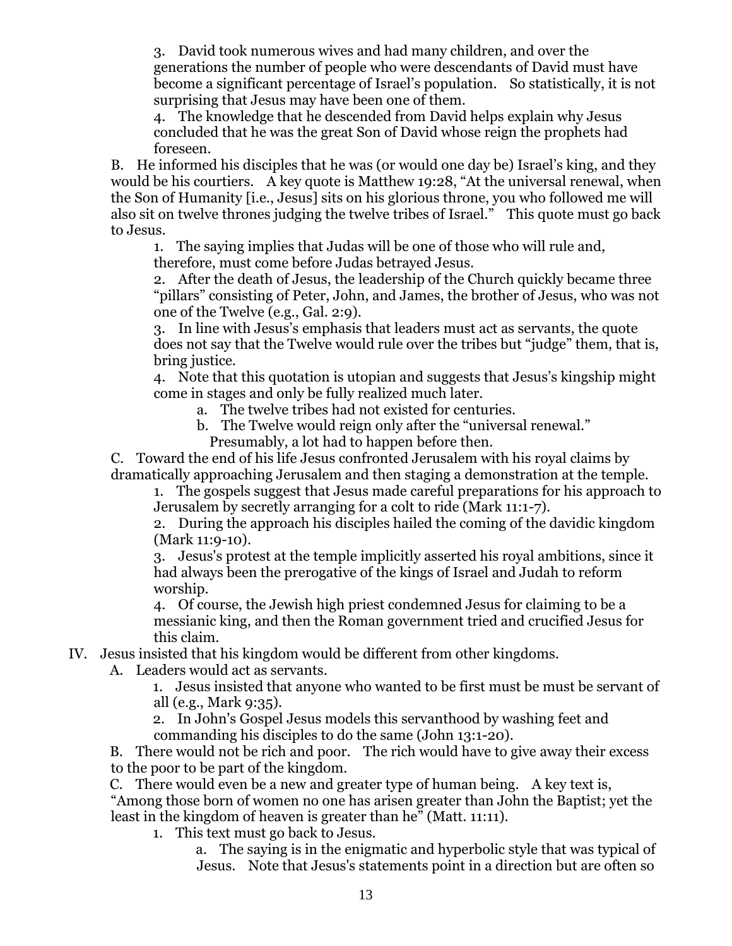3. David took numerous wives and had many children, and over the generations the number of people who were descendants of David must have become a significant percentage of Israel's population. So statistically, it is not surprising that Jesus may have been one of them.

4. The knowledge that he descended from David helps explain why Jesus concluded that he was the great Son of David whose reign the prophets had foreseen.

B. He informed his disciples that he was (or would one day be) Israel's king, and they would be his courtiers. A key quote is Matthew 19:28, "At the universal renewal, when the Son of Humanity [i.e., Jesus] sits on his glorious throne, you who followed me will also sit on twelve thrones judging the twelve tribes of Israel." This quote must go back to Jesus.

1. The saying implies that Judas will be one of those who will rule and, therefore, must come before Judas betrayed Jesus.

2. After the death of Jesus, the leadership of the Church quickly became three "pillars" consisting of Peter, John, and James, the brother of Jesus, who was not one of the Twelve (e.g., Gal. 2:9).

3. In line with Jesus's emphasis that leaders must act as servants, the quote does not say that the Twelve would rule over the tribes but "judge" them, that is, bring justice.

4. Note that this quotation is utopian and suggests that Jesus's kingship might come in stages and only be fully realized much later.

- a. The twelve tribes had not existed for centuries.
- b. The Twelve would reign only after the "universal renewal." Presumably, a lot had to happen before then.

C. Toward the end of his life Jesus confronted Jerusalem with his royal claims by dramatically approaching Jerusalem and then staging a demonstration at the temple.

1. The gospels suggest that Jesus made careful preparations for his approach to Jerusalem by secretly arranging for a colt to ride (Mark 11:1-7).

2. During the approach his disciples hailed the coming of the davidic kingdom (Mark 11:9-10).

3. Jesus's protest at the temple implicitly asserted his royal ambitions, since it had always been the prerogative of the kings of Israel and Judah to reform worship.

4. Of course, the Jewish high priest condemned Jesus for claiming to be a messianic king, and then the Roman government tried and crucified Jesus for this claim.

IV. Jesus insisted that his kingdom would be different from other kingdoms.

A. Leaders would act as servants.

1. Jesus insisted that anyone who wanted to be first must be must be servant of all (e.g., Mark 9:35).

2. In John's Gospel Jesus models this servanthood by washing feet and commanding his disciples to do the same (John 13:1-20).

B. There would not be rich and poor. The rich would have to give away their excess to the poor to be part of the kingdom.

C. There would even be a new and greater type of human being. A key text is, "Among those born of women no one has arisen greater than John the Baptist; yet the least in the kingdom of heaven is greater than he" (Matt. 11:11).

1. This text must go back to Jesus.

a. The saying is in the enigmatic and hyperbolic style that was typical of Jesus. Note that Jesus's statements point in a direction but are often so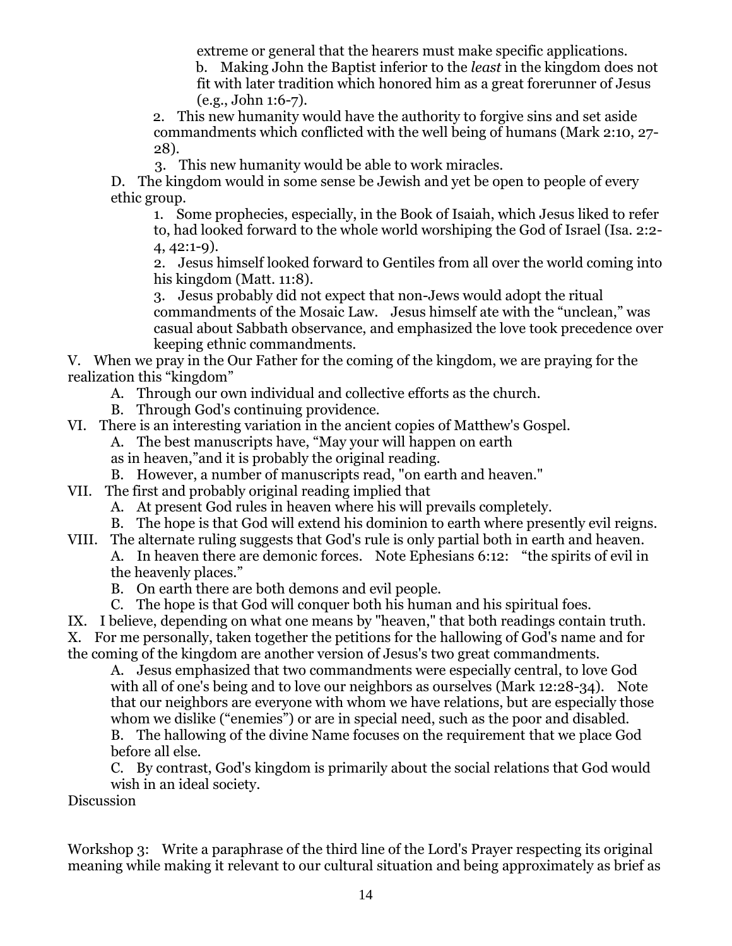extreme or general that the hearers must make specific applications.

b. Making John the Baptist inferior to the *least* in the kingdom does not fit with later tradition which honored him as a great forerunner of Jesus (e.g., John 1:6-7).

2. This new humanity would have the authority to forgive sins and set aside commandments which conflicted with the well being of humans (Mark 2:10, 27- 28).

3. This new humanity would be able to work miracles.

D. The kingdom would in some sense be Jewish and yet be open to people of every ethic group.

1. Some prophecies, especially, in the Book of Isaiah, which Jesus liked to refer to, had looked forward to the whole world worshiping the God of Israel (Isa. 2:2- 4, 42:1-9).

2. Jesus himself looked forward to Gentiles from all over the world coming into his kingdom (Matt. 11:8).

3. Jesus probably did not expect that non-Jews would adopt the ritual commandments of the Mosaic Law. Jesus himself ate with the "unclean," was casual about Sabbath observance, and emphasized the love took precedence over keeping ethnic commandments.

V. When we pray in the Our Father for the coming of the kingdom, we are praying for the realization this "kingdom"

A. Through our own individual and collective efforts as the church.

B. Through God's continuing providence.

VI. There is an interesting variation in the ancient copies of Matthew's Gospel.

A. The best manuscripts have, "May your will happen on earth

as in heaven,"and it is probably the original reading.

B. However, a number of manuscripts read, "on earth and heaven."

VII. The first and probably original reading implied that

A. At present God rules in heaven where his will prevails completely.

B. The hope is that God will extend his dominion to earth where presently evil reigns.

VIII. The alternate ruling suggests that God's rule is only partial both in earth and heaven. A. In heaven there are demonic forces. Note Ephesians 6:12: "the spirits of evil in the heavenly places."

B. On earth there are both demons and evil people.

C. The hope is that God will conquer both his human and his spiritual foes.

IX. I believe, depending on what one means by "heaven," that both readings contain truth. X. For me personally, taken together the petitions for the hallowing of God's name and for

the coming of the kingdom are another version of Jesus's two great commandments.

A. Jesus emphasized that two commandments were especially central, to love God with all of one's being and to love our neighbors as ourselves (Mark 12:28-34). Note that our neighbors are everyone with whom we have relations, but are especially those whom we dislike ("enemies") or are in special need, such as the poor and disabled. B. The hallowing of the divine Name focuses on the requirement that we place God

before all else. C. By contrast, God's kingdom is primarily about the social relations that God would

wish in an ideal society.

Discussion

Workshop 3: Write a paraphrase of the third line of the Lord's Prayer respecting its original meaning while making it relevant to our cultural situation and being approximately as brief as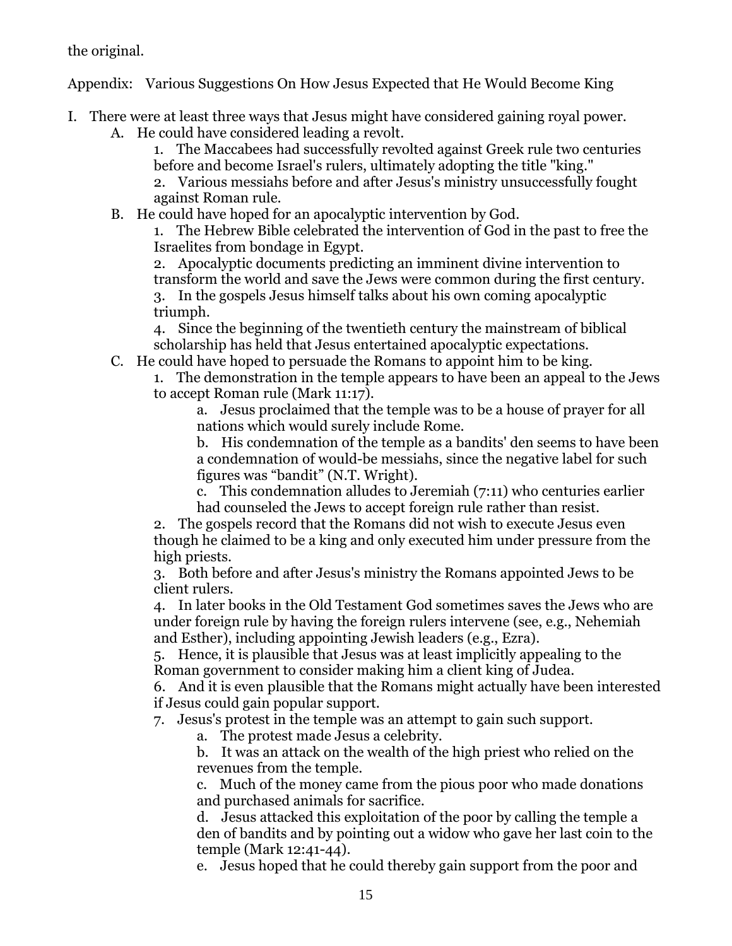the original.

Appendix: Various Suggestions On How Jesus Expected that He Would Become King

I. There were at least three ways that Jesus might have considered gaining royal power. A. He could have considered leading a revolt.

1. The Maccabees had successfully revolted against Greek rule two centuries before and become Israel's rulers, ultimately adopting the title "king."

2. Various messiahs before and after Jesus's ministry unsuccessfully fought against Roman rule.

B. He could have hoped for an apocalyptic intervention by God.

1. The Hebrew Bible celebrated the intervention of God in the past to free the Israelites from bondage in Egypt.

2. Apocalyptic documents predicting an imminent divine intervention to transform the world and save the Jews were common during the first century. 3. In the gospels Jesus himself talks about his own coming apocalyptic triumph.

4. Since the beginning of the twentieth century the mainstream of biblical scholarship has held that Jesus entertained apocalyptic expectations.

C. He could have hoped to persuade the Romans to appoint him to be king.

1. The demonstration in the temple appears to have been an appeal to the Jews to accept Roman rule (Mark 11:17).

a. Jesus proclaimed that the temple was to be a house of prayer for all nations which would surely include Rome.

b. His condemnation of the temple as a bandits' den seems to have been a condemnation of would-be messiahs, since the negative label for such figures was "bandit" (N.T. Wright).

c. This condemnation alludes to Jeremiah (7:11) who centuries earlier had counseled the Jews to accept foreign rule rather than resist.

2. The gospels record that the Romans did not wish to execute Jesus even though he claimed to be a king and only executed him under pressure from the high priests.

3. Both before and after Jesus's ministry the Romans appointed Jews to be client rulers.

4. In later books in the Old Testament God sometimes saves the Jews who are under foreign rule by having the foreign rulers intervene (see, e.g., Nehemiah and Esther), including appointing Jewish leaders (e.g., Ezra).

5. Hence, it is plausible that Jesus was at least implicitly appealing to the Roman government to consider making him a client king of Judea.

6. And it is even plausible that the Romans might actually have been interested if Jesus could gain popular support.

7. Jesus's protest in the temple was an attempt to gain such support.

a. The protest made Jesus a celebrity.

b. It was an attack on the wealth of the high priest who relied on the revenues from the temple.

c. Much of the money came from the pious poor who made donations and purchased animals for sacrifice.

d. Jesus attacked this exploitation of the poor by calling the temple a den of bandits and by pointing out a widow who gave her last coin to the temple (Mark 12:41-44).

e. Jesus hoped that he could thereby gain support from the poor and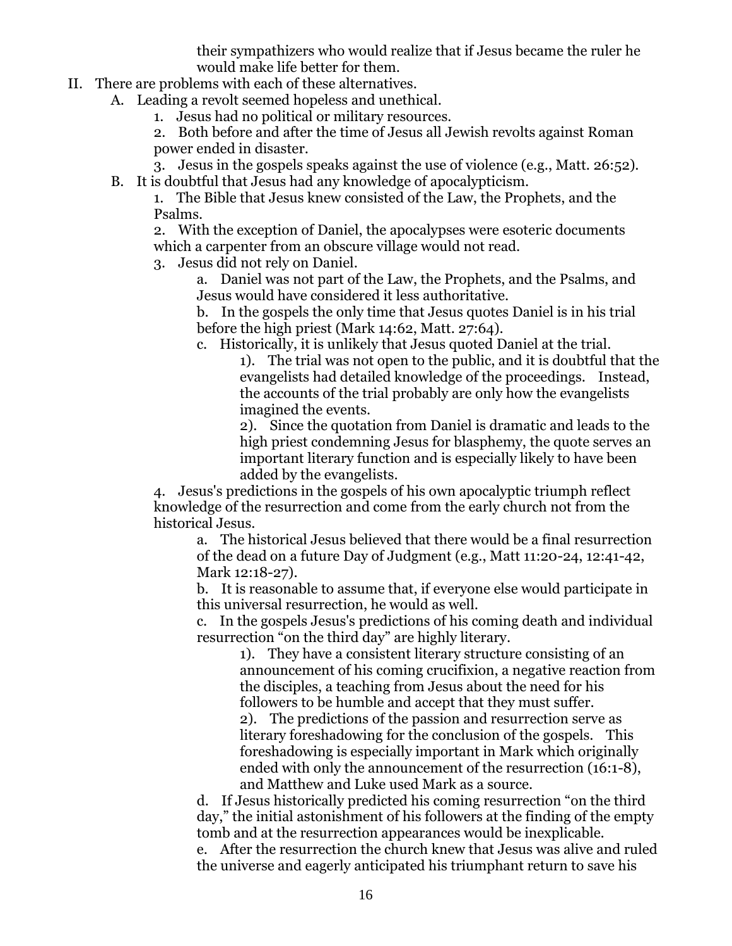their sympathizers who would realize that if Jesus became the ruler he would make life better for them.

II. There are problems with each of these alternatives.

A. Leading a revolt seemed hopeless and unethical.

1. Jesus had no political or military resources.

2. Both before and after the time of Jesus all Jewish revolts against Roman power ended in disaster.

3. Jesus in the gospels speaks against the use of violence (e.g., Matt. 26:52).

B. It is doubtful that Jesus had any knowledge of apocalypticism.

1. The Bible that Jesus knew consisted of the Law, the Prophets, and the Psalms.

2. With the exception of Daniel, the apocalypses were esoteric documents which a carpenter from an obscure village would not read.

3. Jesus did not rely on Daniel.

a. Daniel was not part of the Law, the Prophets, and the Psalms, and Jesus would have considered it less authoritative.

b. In the gospels the only time that Jesus quotes Daniel is in his trial before the high priest (Mark 14:62, Matt. 27:64).

c. Historically, it is unlikely that Jesus quoted Daniel at the trial.

1). The trial was not open to the public, and it is doubtful that the evangelists had detailed knowledge of the proceedings. Instead, the accounts of the trial probably are only how the evangelists imagined the events.

2). Since the quotation from Daniel is dramatic and leads to the high priest condemning Jesus for blasphemy, the quote serves an important literary function and is especially likely to have been added by the evangelists.

4. Jesus's predictions in the gospels of his own apocalyptic triumph reflect knowledge of the resurrection and come from the early church not from the historical Jesus.

a. The historical Jesus believed that there would be a final resurrection of the dead on a future Day of Judgment (e.g., Matt 11:20-24, 12:41-42, Mark 12:18-27).

b. It is reasonable to assume that, if everyone else would participate in this universal resurrection, he would as well.

c. In the gospels Jesus's predictions of his coming death and individual resurrection "on the third day" are highly literary.

1). They have a consistent literary structure consisting of an announcement of his coming crucifixion, a negative reaction from the disciples, a teaching from Jesus about the need for his followers to be humble and accept that they must suffer.

2). The predictions of the passion and resurrection serve as literary foreshadowing for the conclusion of the gospels. This foreshadowing is especially important in Mark which originally ended with only the announcement of the resurrection (16:1-8), and Matthew and Luke used Mark as a source.

d. If Jesus historically predicted his coming resurrection "on the third day," the initial astonishment of his followers at the finding of the empty tomb and at the resurrection appearances would be inexplicable.

e. After the resurrection the church knew that Jesus was alive and ruled the universe and eagerly anticipated his triumphant return to save his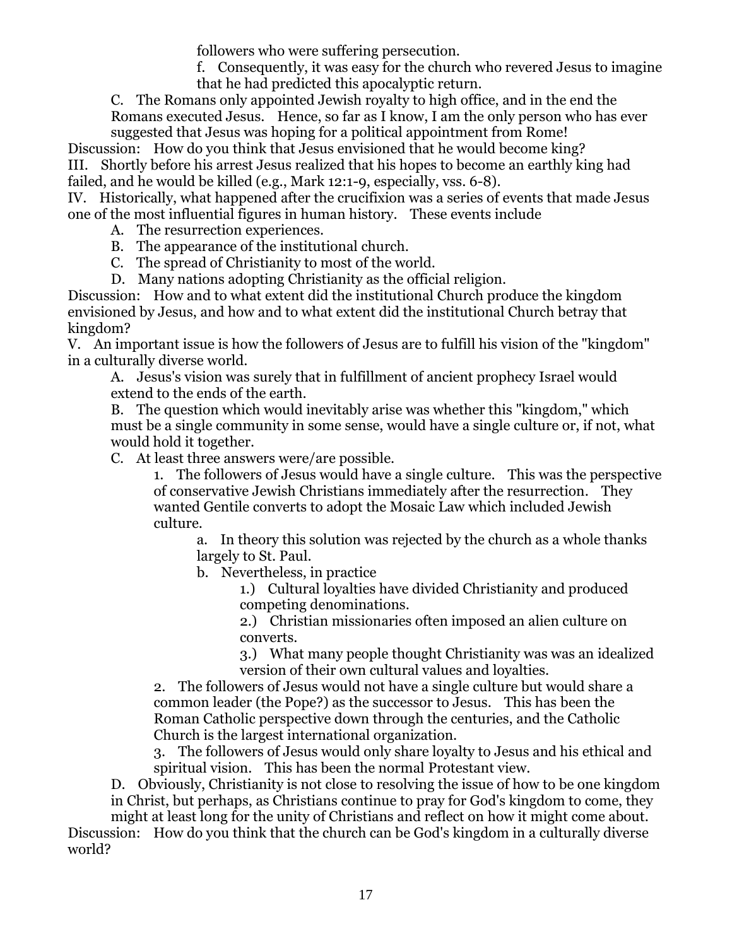followers who were suffering persecution.

f. Consequently, it was easy for the church who revered Jesus to imagine that he had predicted this apocalyptic return.

C. The Romans only appointed Jewish royalty to high office, and in the end the Romans executed Jesus. Hence, so far as I know, I am the only person who has ever suggested that Jesus was hoping for a political appointment from Rome!

Discussion: How do you think that Jesus envisioned that he would become king? III. Shortly before his arrest Jesus realized that his hopes to become an earthly king had failed, and he would be killed (e.g., Mark 12:1-9, especially, vss. 6-8).

IV. Historically, what happened after the crucifixion was a series of events that made Jesus one of the most influential figures in human history. These events include

A. The resurrection experiences.

B. The appearance of the institutional church.

C. The spread of Christianity to most of the world.

D. Many nations adopting Christianity as the official religion.

Discussion: How and to what extent did the institutional Church produce the kingdom envisioned by Jesus, and how and to what extent did the institutional Church betray that kingdom?

V. An important issue is how the followers of Jesus are to fulfill his vision of the "kingdom" in a culturally diverse world.

A. Jesus's vision was surely that in fulfillment of ancient prophecy Israel would extend to the ends of the earth.

B. The question which would inevitably arise was whether this "kingdom," which must be a single community in some sense, would have a single culture or, if not, what would hold it together.

C. At least three answers were/are possible.

1. The followers of Jesus would have a single culture. This was the perspective of conservative Jewish Christians immediately after the resurrection. They wanted Gentile converts to adopt the Mosaic Law which included Jewish culture.

a. In theory this solution was rejected by the church as a whole thanks largely to St. Paul.

b. Nevertheless, in practice

1.) Cultural loyalties have divided Christianity and produced competing denominations.

2.) Christian missionaries often imposed an alien culture on converts.

3.) What many people thought Christianity was was an idealized version of their own cultural values and loyalties.

2. The followers of Jesus would not have a single culture but would share a common leader (the Pope?) as the successor to Jesus. This has been the Roman Catholic perspective down through the centuries, and the Catholic Church is the largest international organization.

3. The followers of Jesus would only share loyalty to Jesus and his ethical and spiritual vision. This has been the normal Protestant view.

D. Obviously, Christianity is not close to resolving the issue of how to be one kingdom in Christ, but perhaps, as Christians continue to pray for God's kingdom to come, they

might at least long for the unity of Christians and reflect on how it might come about. Discussion: How do you think that the church can be God's kingdom in a culturally diverse world?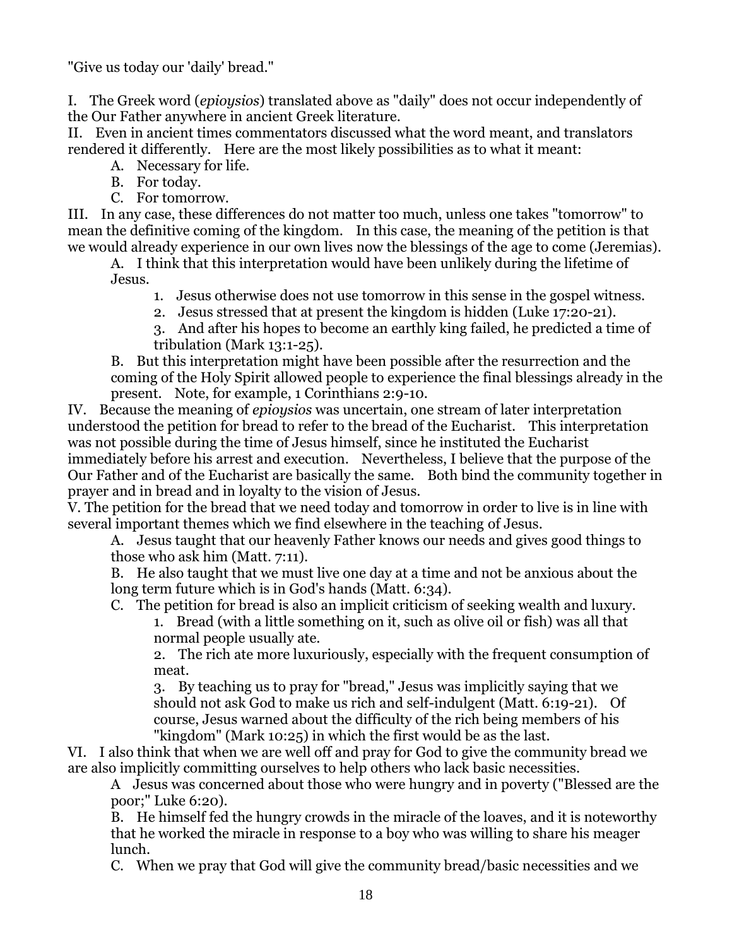"Give us today our 'daily' bread."

I. The Greek word (*epioysios*) translated above as "daily" does not occur independently of the Our Father anywhere in ancient Greek literature.

II. Even in ancient times commentators discussed what the word meant, and translators rendered it differently. Here are the most likely possibilities as to what it meant:

A. Necessary for life.

B. For today.

C. For tomorrow.

III. In any case, these differences do not matter too much, unless one takes "tomorrow" to mean the definitive coming of the kingdom. In this case, the meaning of the petition is that we would already experience in our own lives now the blessings of the age to come (Jeremias).

A. I think that this interpretation would have been unlikely during the lifetime of Jesus.

- 1. Jesus otherwise does not use tomorrow in this sense in the gospel witness.
- 2. Jesus stressed that at present the kingdom is hidden (Luke 17:20-21).
- 3. And after his hopes to become an earthly king failed, he predicted a time of tribulation (Mark 13:1-25).

B. But this interpretation might have been possible after the resurrection and the coming of the Holy Spirit allowed people to experience the final blessings already in the present. Note, for example, 1 Corinthians 2:9-10.

IV. Because the meaning of *epioysios* was uncertain, one stream of later interpretation understood the petition for bread to refer to the bread of the Eucharist. This interpretation was not possible during the time of Jesus himself, since he instituted the Eucharist immediately before his arrest and execution. Nevertheless, I believe that the purpose of the Our Father and of the Eucharist are basically the same. Both bind the community together in prayer and in bread and in loyalty to the vision of Jesus.

V. The petition for the bread that we need today and tomorrow in order to live is in line with several important themes which we find elsewhere in the teaching of Jesus.

A. Jesus taught that our heavenly Father knows our needs and gives good things to those who ask him (Matt. 7:11).

B. He also taught that we must live one day at a time and not be anxious about the long term future which is in God's hands (Matt. 6:34).

C. The petition for bread is also an implicit criticism of seeking wealth and luxury.

1. Bread (with a little something on it, such as olive oil or fish) was all that normal people usually ate.

2. The rich ate more luxuriously, especially with the frequent consumption of meat.

3. By teaching us to pray for "bread," Jesus was implicitly saying that we should not ask God to make us rich and self-indulgent (Matt. 6:19-21). Of course, Jesus warned about the difficulty of the rich being members of his "kingdom" (Mark 10:25) in which the first would be as the last.

VI. I also think that when we are well off and pray for God to give the community bread we are also implicitly committing ourselves to help others who lack basic necessities.

A Jesus was concerned about those who were hungry and in poverty ("Blessed are the poor;" Luke 6:20).

B. He himself fed the hungry crowds in the miracle of the loaves, and it is noteworthy that he worked the miracle in response to a boy who was willing to share his meager lunch.

C. When we pray that God will give the community bread/basic necessities and we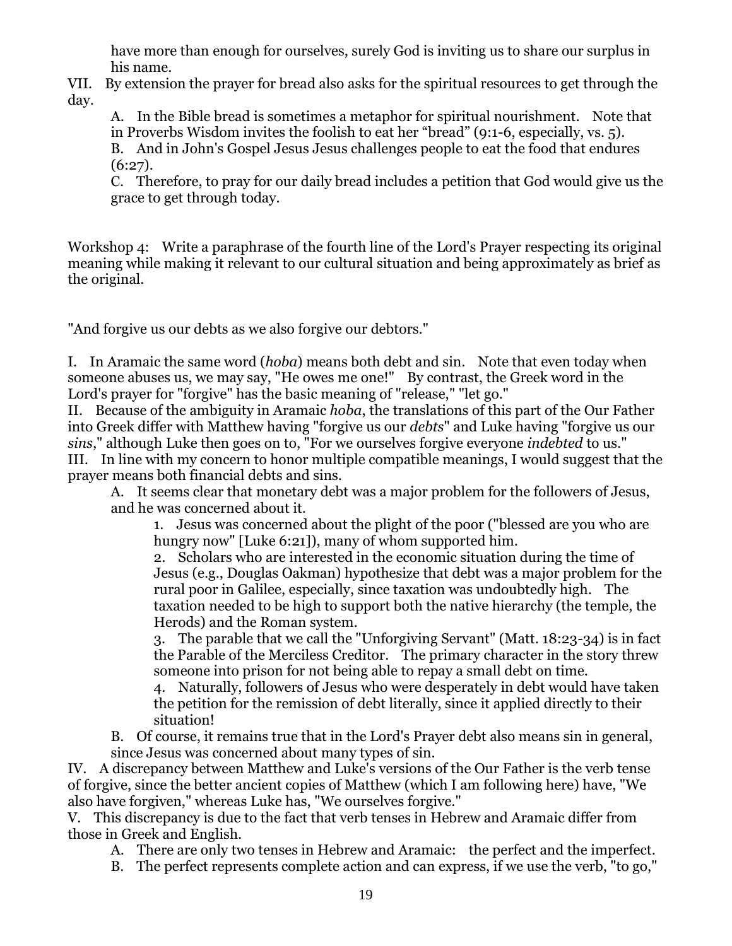have more than enough for ourselves, surely God is inviting us to share our surplus in his name.

VII. By extension the prayer for bread also asks for the spiritual resources to get through the day.

A. In the Bible bread is sometimes a metaphor for spiritual nourishment. Note that in Proverbs Wisdom invites the foolish to eat her "bread" (9:1-6, especially, vs. 5).

B. And in John's Gospel Jesus Jesus challenges people to eat the food that endures  $(6:27)$ .

C. Therefore, to pray for our daily bread includes a petition that God would give us the grace to get through today.

Workshop 4: Write a paraphrase of the fourth line of the Lord's Prayer respecting its original meaning while making it relevant to our cultural situation and being approximately as brief as the original.

"And forgive us our debts as we also forgive our debtors."

I. In Aramaic the same word (*hoba*) means both debt and sin. Note that even today when someone abuses us, we may say, "He owes me one!" By contrast, the Greek word in the Lord's prayer for "forgive" has the basic meaning of "release," "let go."

II. Because of the ambiguity in Aramaic *hoba*, the translations of this part of the Our Father into Greek differ with Matthew having "forgive us our *debts*" and Luke having "forgive us our *sins*," although Luke then goes on to, "For we ourselves forgive everyone *indebted* to us." III. In line with my concern to honor multiple compatible meanings, I would suggest that the

prayer means both financial debts and sins.

A. It seems clear that monetary debt was a major problem for the followers of Jesus, and he was concerned about it.

1. Jesus was concerned about the plight of the poor ("blessed are you who are hungry now" [Luke 6:21]), many of whom supported him.

2. Scholars who are interested in the economic situation during the time of Jesus (e.g., Douglas Oakman) hypothesize that debt was a major problem for the rural poor in Galilee, especially, since taxation was undoubtedly high. The taxation needed to be high to support both the native hierarchy (the temple, the Herods) and the Roman system.

3. The parable that we call the "Unforgiving Servant" (Matt. 18:23-34) is in fact the Parable of the Merciless Creditor. The primary character in the story threw someone into prison for not being able to repay a small debt on time.

4. Naturally, followers of Jesus who were desperately in debt would have taken the petition for the remission of debt literally, since it applied directly to their situation!

B. Of course, it remains true that in the Lord's Prayer debt also means sin in general, since Jesus was concerned about many types of sin.

IV. A discrepancy between Matthew and Luke's versions of the Our Father is the verb tense of forgive, since the better ancient copies of Matthew (which I am following here) have, "We also have forgiven," whereas Luke has, "We ourselves forgive."

V. This discrepancy is due to the fact that verb tenses in Hebrew and Aramaic differ from those in Greek and English.

A. There are only two tenses in Hebrew and Aramaic: the perfect and the imperfect.

B. The perfect represents complete action and can express, if we use the verb, "to go,"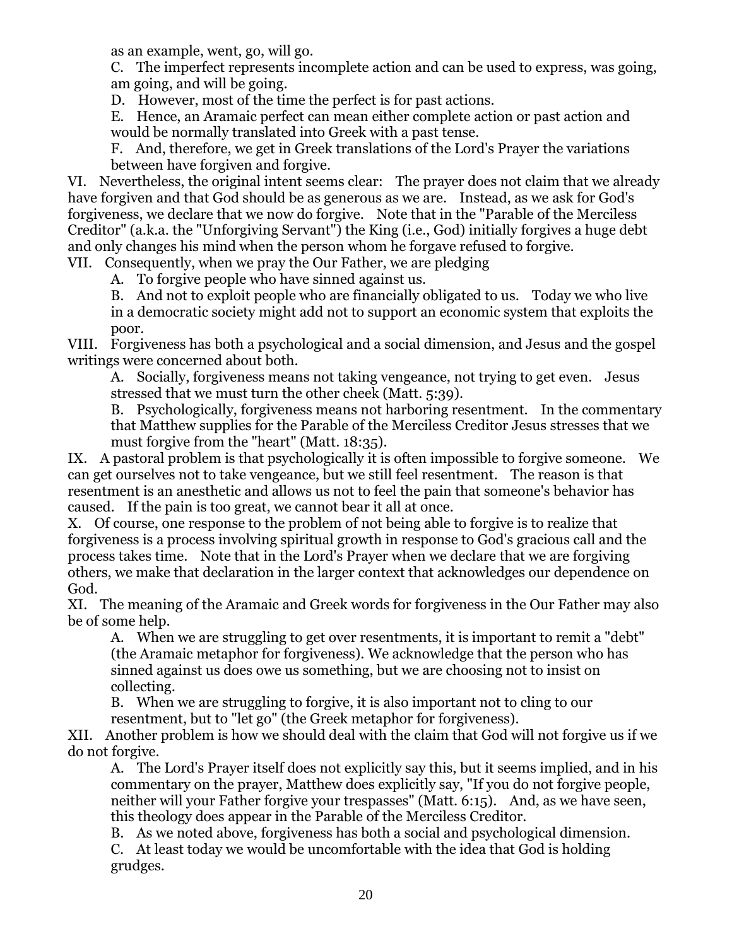as an example, went, go, will go.

C. The imperfect represents incomplete action and can be used to express, was going, am going, and will be going.

D. However, most of the time the perfect is for past actions.

E. Hence, an Aramaic perfect can mean either complete action or past action and would be normally translated into Greek with a past tense.

F. And, therefore, we get in Greek translations of the Lord's Prayer the variations between have forgiven and forgive.

VI. Nevertheless, the original intent seems clear: The prayer does not claim that we already have forgiven and that God should be as generous as we are. Instead, as we ask for God's forgiveness, we declare that we now do forgive. Note that in the "Parable of the Merciless Creditor" (a.k.a. the "Unforgiving Servant") the King (i.e., God) initially forgives a huge debt and only changes his mind when the person whom he forgave refused to forgive.

VII. Consequently, when we pray the Our Father, we are pledging

A. To forgive people who have sinned against us.

B. And not to exploit people who are financially obligated to us. Today we who live in a democratic society might add not to support an economic system that exploits the poor.

VIII. Forgiveness has both a psychological and a social dimension, and Jesus and the gospel writings were concerned about both.

A. Socially, forgiveness means not taking vengeance, not trying to get even. Jesus stressed that we must turn the other cheek (Matt. 5:39).

B. Psychologically, forgiveness means not harboring resentment. In the commentary that Matthew supplies for the Parable of the Merciless Creditor Jesus stresses that we must forgive from the "heart" (Matt. 18:35).

IX. A pastoral problem is that psychologically it is often impossible to forgive someone. We can get ourselves not to take vengeance, but we still feel resentment. The reason is that resentment is an anesthetic and allows us not to feel the pain that someone's behavior has caused. If the pain is too great, we cannot bear it all at once.

X. Of course, one response to the problem of not being able to forgive is to realize that forgiveness is a process involving spiritual growth in response to God's gracious call and the process takes time. Note that in the Lord's Prayer when we declare that we are forgiving others, we make that declaration in the larger context that acknowledges our dependence on God.

XI. The meaning of the Aramaic and Greek words for forgiveness in the Our Father may also be of some help.

A. When we are struggling to get over resentments, it is important to remit a "debt" (the Aramaic metaphor for forgiveness). We acknowledge that the person who has sinned against us does owe us something, but we are choosing not to insist on collecting.

B. When we are struggling to forgive, it is also important not to cling to our resentment, but to "let go" (the Greek metaphor for forgiveness).

XII. Another problem is how we should deal with the claim that God will not forgive us if we do not forgive.

A. The Lord's Prayer itself does not explicitly say this, but it seems implied, and in his commentary on the prayer, Matthew does explicitly say, "If you do not forgive people, neither will your Father forgive your trespasses" (Matt. 6:15). And, as we have seen, this theology does appear in the Parable of the Merciless Creditor.

B. As we noted above, forgiveness has both a social and psychological dimension. C. At least today we would be uncomfortable with the idea that God is holding grudges.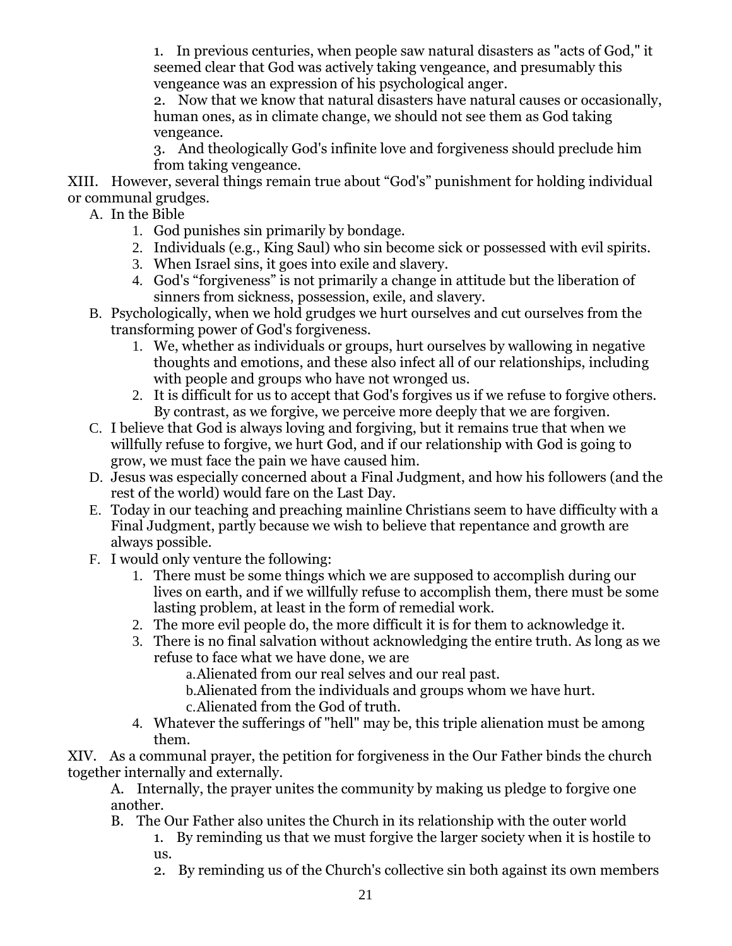1. In previous centuries, when people saw natural disasters as "acts of God," it seemed clear that God was actively taking vengeance, and presumably this vengeance was an expression of his psychological anger.

2. Now that we know that natural disasters have natural causes or occasionally, human ones, as in climate change, we should not see them as God taking vengeance.

3. And theologically God's infinite love and forgiveness should preclude him from taking vengeance.

XIII. However, several things remain true about "God's" punishment for holding individual or communal grudges.

- A. In the Bible
	- 1. God punishes sin primarily by bondage.
	- 2. Individuals (e.g., King Saul) who sin become sick or possessed with evil spirits.
	- 3. When Israel sins, it goes into exile and slavery.
	- 4. God's "forgiveness" is not primarily a change in attitude but the liberation of sinners from sickness, possession, exile, and slavery.
- B. Psychologically, when we hold grudges we hurt ourselves and cut ourselves from the transforming power of God's forgiveness.
	- 1. We, whether as individuals or groups, hurt ourselves by wallowing in negative thoughts and emotions, and these also infect all of our relationships, including with people and groups who have not wronged us.
	- 2. It is difficult for us to accept that God's forgives us if we refuse to forgive others. By contrast, as we forgive, we perceive more deeply that we are forgiven.
- C. I believe that God is always loving and forgiving, but it remains true that when we willfully refuse to forgive, we hurt God, and if our relationship with God is going to grow, we must face the pain we have caused him.
- D. Jesus was especially concerned about a Final Judgment, and how his followers (and the rest of the world) would fare on the Last Day.
- E. Today in our teaching and preaching mainline Christians seem to have difficulty with a Final Judgment, partly because we wish to believe that repentance and growth are always possible.
- F. I would only venture the following:
	- 1. There must be some things which we are supposed to accomplish during our lives on earth, and if we willfully refuse to accomplish them, there must be some lasting problem, at least in the form of remedial work.
	- 2. The more evil people do, the more difficult it is for them to acknowledge it.
	- 3. There is no final salvation without acknowledging the entire truth. As long as we refuse to face what we have done, we are

a.Alienated from our real selves and our real past.

- b.Alienated from the individuals and groups whom we have hurt.
- c.Alienated from the God of truth.
- 4. Whatever the sufferings of "hell" may be, this triple alienation must be among them.

XIV. As a communal prayer, the petition for forgiveness in the Our Father binds the church together internally and externally.

A. Internally, the prayer unites the community by making us pledge to forgive one another.

- B. The Our Father also unites the Church in its relationship with the outer world
	- 1. By reminding us that we must forgive the larger society when it is hostile to us.
	- 2. By reminding us of the Church's collective sin both against its own members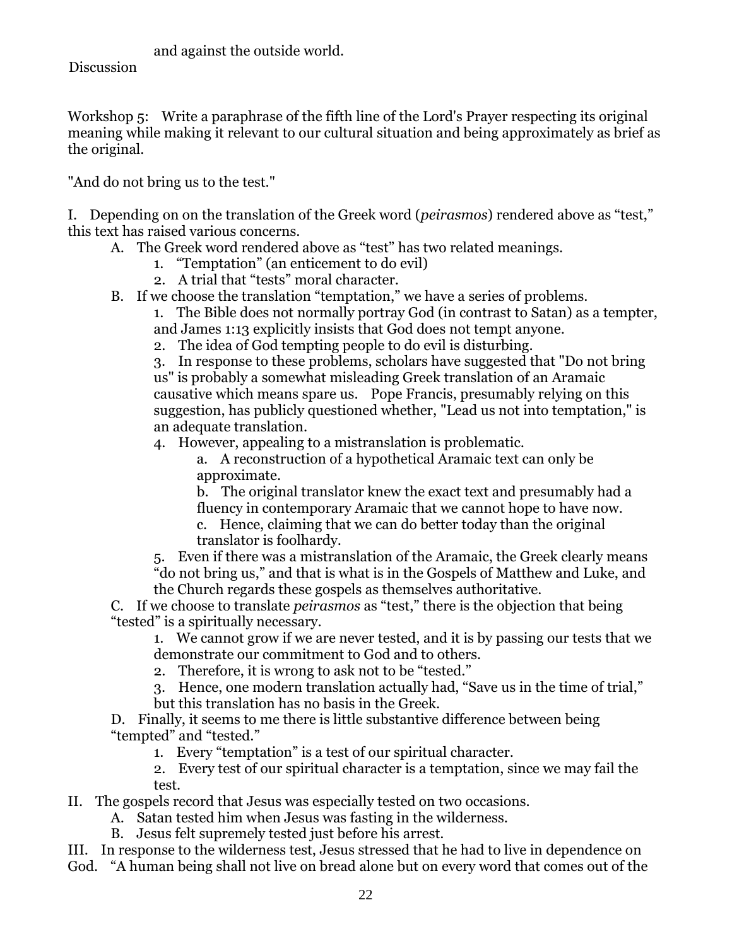and against the outside world.

**Discussion** 

Workshop 5: Write a paraphrase of the fifth line of the Lord's Prayer respecting its original meaning while making it relevant to our cultural situation and being approximately as brief as the original.

"And do not bring us to the test."

I. Depending on on the translation of the Greek word (*peirasmos*) rendered above as "test," this text has raised various concerns.

- A. The Greek word rendered above as "test" has two related meanings.
	- 1. "Temptation" (an enticement to do evil)
	- 2. A trial that "tests" moral character.
- B. If we choose the translation "temptation," we have a series of problems.

1. The Bible does not normally portray God (in contrast to Satan) as a tempter, and James 1:13 explicitly insists that God does not tempt anyone.

2. The idea of God tempting people to do evil is disturbing.

3. In response to these problems, scholars have suggested that "Do not bring us" is probably a somewhat misleading Greek translation of an Aramaic causative which means spare us. Pope Francis, presumably relying on this suggestion, has publicly questioned whether, "Lead us not into temptation," is an adequate translation.

4. However, appealing to a mistranslation is problematic.

a. A reconstruction of a hypothetical Aramaic text can only be approximate.

b. The original translator knew the exact text and presumably had a fluency in contemporary Aramaic that we cannot hope to have now.

c. Hence, claiming that we can do better today than the original translator is foolhardy.

5. Even if there was a mistranslation of the Aramaic, the Greek clearly means "do not bring us," and that is what is in the Gospels of Matthew and Luke, and the Church regards these gospels as themselves authoritative.

C. If we choose to translate *peirasmos* as "test," there is the objection that being "tested" is a spiritually necessary.

1. We cannot grow if we are never tested, and it is by passing our tests that we demonstrate our commitment to God and to others.

- 2. Therefore, it is wrong to ask not to be "tested."
- 3. Hence, one modern translation actually had, "Save us in the time of trial," but this translation has no basis in the Greek.

D. Finally, it seems to me there is little substantive difference between being "tempted" and "tested."

1. Every "temptation" is a test of our spiritual character.

2. Every test of our spiritual character is a temptation, since we may fail the test.

II. The gospels record that Jesus was especially tested on two occasions.

- A. Satan tested him when Jesus was fasting in the wilderness.
- B. Jesus felt supremely tested just before his arrest.

III. In response to the wilderness test, Jesus stressed that he had to live in dependence on God. "A human being shall not live on bread alone but on every word that comes out of the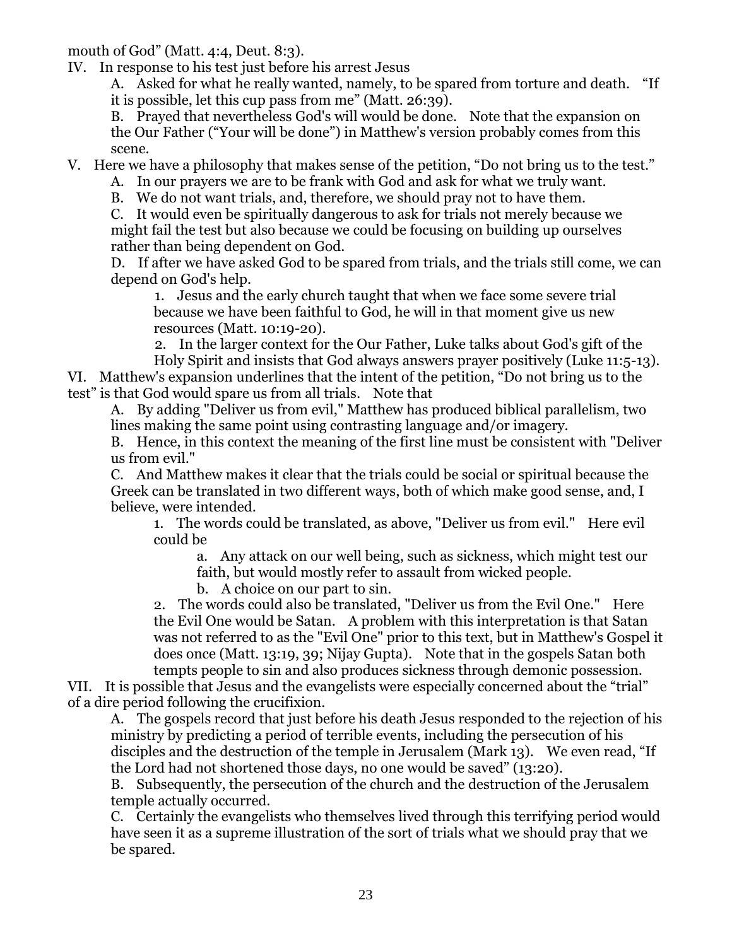mouth of God" (Matt. 4:4, Deut. 8:3).

IV. In response to his test just before his arrest Jesus

A. Asked for what he really wanted, namely, to be spared from torture and death. "If it is possible, let this cup pass from me" (Matt. 26:39).

B. Prayed that nevertheless God's will would be done. Note that the expansion on the Our Father ("Your will be done") in Matthew's version probably comes from this scene.

V. Here we have a philosophy that makes sense of the petition, "Do not bring us to the test."

A. In our prayers we are to be frank with God and ask for what we truly want.

B. We do not want trials, and, therefore, we should pray not to have them.

C. It would even be spiritually dangerous to ask for trials not merely because we might fail the test but also because we could be focusing on building up ourselves rather than being dependent on God.

D. If after we have asked God to be spared from trials, and the trials still come, we can depend on God's help.

1. Jesus and the early church taught that when we face some severe trial because we have been faithful to God, he will in that moment give us new resources (Matt. 10:19-20).

2. In the larger context for the Our Father, Luke talks about God's gift of the Holy Spirit and insists that God always answers prayer positively (Luke 11:5-13).

VI. Matthew's expansion underlines that the intent of the petition, "Do not bring us to the test" is that God would spare us from all trials. Note that

A. By adding "Deliver us from evil," Matthew has produced biblical parallelism, two lines making the same point using contrasting language and/or imagery.

B. Hence, in this context the meaning of the first line must be consistent with "Deliver us from evil."

C. And Matthew makes it clear that the trials could be social or spiritual because the Greek can be translated in two different ways, both of which make good sense, and, I believe, were intended.

1. The words could be translated, as above, "Deliver us from evil." Here evil could be

a. Any attack on our well being, such as sickness, which might test our faith, but would mostly refer to assault from wicked people.

b. A choice on our part to sin.

2. The words could also be translated, "Deliver us from the Evil One." Here the Evil One would be Satan. A problem with this interpretation is that Satan was not referred to as the "Evil One" prior to this text, but in Matthew's Gospel it does once (Matt. 13:19, 39; Nijay Gupta). Note that in the gospels Satan both tempts people to sin and also produces sickness through demonic possession.

VII. It is possible that Jesus and the evangelists were especially concerned about the "trial" of a dire period following the crucifixion.

A. The gospels record that just before his death Jesus responded to the rejection of his ministry by predicting a period of terrible events, including the persecution of his disciples and the destruction of the temple in Jerusalem (Mark 13). We even read, "If the Lord had not shortened those days, no one would be saved" (13:20).

B. Subsequently, the persecution of the church and the destruction of the Jerusalem temple actually occurred.

C. Certainly the evangelists who themselves lived through this terrifying period would have seen it as a supreme illustration of the sort of trials what we should pray that we be spared.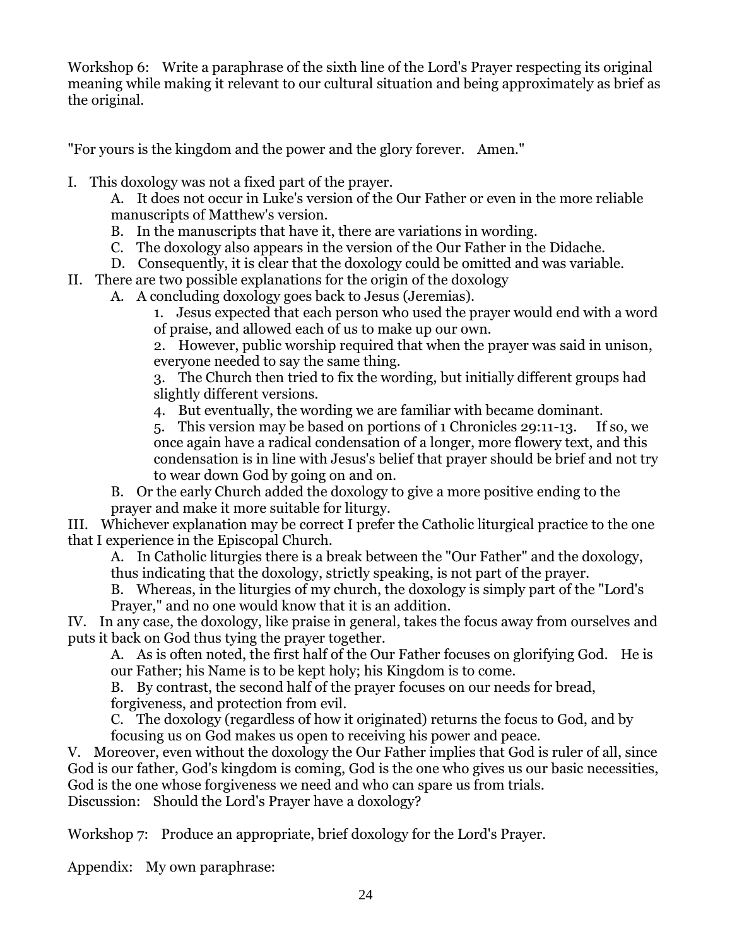Workshop 6: Write a paraphrase of the sixth line of the Lord's Prayer respecting its original meaning while making it relevant to our cultural situation and being approximately as brief as the original.

"For yours is the kingdom and the power and the glory forever. Amen."

I. This doxology was not a fixed part of the prayer.

A. It does not occur in Luke's version of the Our Father or even in the more reliable manuscripts of Matthew's version.

- B. In the manuscripts that have it, there are variations in wording.
- C. The doxology also appears in the version of the Our Father in the Didache.
- D. Consequently, it is clear that the doxology could be omitted and was variable.
- II. There are two possible explanations for the origin of the doxology
	- A. A concluding doxology goes back to Jesus (Jeremias).

1. Jesus expected that each person who used the prayer would end with a word of praise, and allowed each of us to make up our own.

2. However, public worship required that when the prayer was said in unison, everyone needed to say the same thing.

3. The Church then tried to fix the wording, but initially different groups had slightly different versions.

4. But eventually, the wording we are familiar with became dominant.

5. This version may be based on portions of 1 Chronicles 29:11-13. If so, we once again have a radical condensation of a longer, more flowery text, and this condensation is in line with Jesus's belief that prayer should be brief and not try to wear down God by going on and on.

B. Or the early Church added the doxology to give a more positive ending to the prayer and make it more suitable for liturgy.

III. Whichever explanation may be correct I prefer the Catholic liturgical practice to the one that I experience in the Episcopal Church.

A. In Catholic liturgies there is a break between the "Our Father" and the doxology, thus indicating that the doxology, strictly speaking, is not part of the prayer.

B. Whereas, in the liturgies of my church, the doxology is simply part of the "Lord's Prayer," and no one would know that it is an addition.

IV. In any case, the doxology, like praise in general, takes the focus away from ourselves and puts it back on God thus tying the prayer together.

A. As is often noted, the first half of the Our Father focuses on glorifying God. He is our Father; his Name is to be kept holy; his Kingdom is to come.

B. By contrast, the second half of the prayer focuses on our needs for bread, forgiveness, and protection from evil.

C. The doxology (regardless of how it originated) returns the focus to God, and by focusing us on God makes us open to receiving his power and peace.

V. Moreover, even without the doxology the Our Father implies that God is ruler of all, since God is our father, God's kingdom is coming, God is the one who gives us our basic necessities, God is the one whose forgiveness we need and who can spare us from trials. Discussion: Should the Lord's Prayer have a doxology?

Workshop 7: Produce an appropriate, brief doxology for the Lord's Prayer.

Appendix: My own paraphrase: